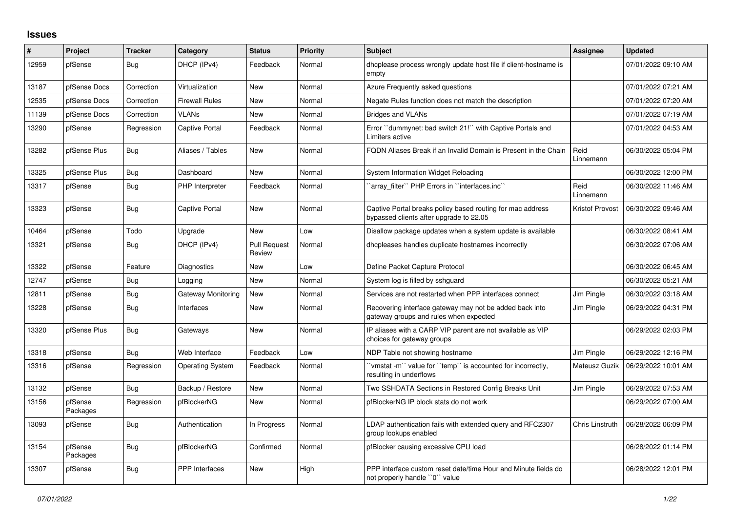## **Issues**

| #     | Project             | <b>Tracker</b> | Category                | <b>Status</b>                 | <b>Priority</b> | <b>Subject</b>                                                                                        | Assignee               | <b>Updated</b>      |
|-------|---------------------|----------------|-------------------------|-------------------------------|-----------------|-------------------------------------------------------------------------------------------------------|------------------------|---------------------|
| 12959 | pfSense             | <b>Bug</b>     | DHCP (IPv4)             | Feedback                      | Normal          | dhoplease process wrongly update host file if client-hostname is<br>empty                             |                        | 07/01/2022 09:10 AM |
| 13187 | pfSense Docs        | Correction     | Virtualization          | <b>New</b>                    | Normal          | Azure Frequently asked questions                                                                      |                        | 07/01/2022 07:21 AM |
| 12535 | pfSense Docs        | Correction     | <b>Firewall Rules</b>   | <b>New</b>                    | Normal          | Negate Rules function does not match the description                                                  |                        | 07/01/2022 07:20 AM |
| 11139 | pfSense Docs        | Correction     | <b>VLANs</b>            | New                           | Normal          | <b>Bridges and VLANs</b>                                                                              |                        | 07/01/2022 07:19 AM |
| 13290 | pfSense             | Regression     | Captive Portal          | Feedback                      | Normal          | Error "dummynet: bad switch 21!" with Captive Portals and<br>Limiters active                          |                        | 07/01/2022 04:53 AM |
| 13282 | pfSense Plus        | Bug            | Aliases / Tables        | <b>New</b>                    | Normal          | FQDN Aliases Break if an Invalid Domain is Present in the Chain                                       | Reid<br>Linnemann      | 06/30/2022 05:04 PM |
| 13325 | pfSense Plus        | Bug            | Dashboard               | <b>New</b>                    | Normal          | System Information Widget Reloading                                                                   |                        | 06/30/2022 12:00 PM |
| 13317 | pfSense             | Bug            | PHP Interpreter         | Feedback                      | Normal          | 'array filter'' PHP Errors in "interfaces.inc"                                                        | Reid<br>Linnemann      | 06/30/2022 11:46 AM |
| 13323 | pfSense             | Bug            | Captive Portal          | <b>New</b>                    | Normal          | Captive Portal breaks policy based routing for mac address<br>bypassed clients after upgrade to 22.05 | <b>Kristof Provost</b> | 06/30/2022 09:46 AM |
| 10464 | pfSense             | Todo           | Upgrade                 | <b>New</b>                    | Low             | Disallow package updates when a system update is available                                            |                        | 06/30/2022 08:41 AM |
| 13321 | pfSense             | Bug            | DHCP (IPv4)             | <b>Pull Request</b><br>Review | Normal          | dhcpleases handles duplicate hostnames incorrectly                                                    |                        | 06/30/2022 07:06 AM |
| 13322 | pfSense             | Feature        | <b>Diagnostics</b>      | <b>New</b>                    | Low             | Define Packet Capture Protocol                                                                        |                        | 06/30/2022 06:45 AM |
| 12747 | pfSense             | Bug            | Logging                 | <b>New</b>                    | Normal          | System log is filled by sshguard                                                                      |                        | 06/30/2022 05:21 AM |
| 12811 | pfSense             | <b>Bug</b>     | Gateway Monitoring      | <b>New</b>                    | Normal          | Services are not restarted when PPP interfaces connect                                                | Jim Pingle             | 06/30/2022 03:18 AM |
| 13228 | pfSense             | Bug            | Interfaces              | New                           | Normal          | Recovering interface gateway may not be added back into<br>gateway groups and rules when expected     | Jim Pingle             | 06/29/2022 04:31 PM |
| 13320 | pfSense Plus        | Bug            | Gateways                | <b>New</b>                    | Normal          | IP aliases with a CARP VIP parent are not available as VIP<br>choices for gateway groups              |                        | 06/29/2022 02:03 PM |
| 13318 | pfSense             | Bug            | Web Interface           | Feedback                      | Low             | NDP Table not showing hostname                                                                        | Jim Pingle             | 06/29/2022 12:16 PM |
| 13316 | pfSense             | Regression     | <b>Operating System</b> | Feedback                      | Normal          | 'vmstat -m'' value for ''temp'' is accounted for incorrectly,<br>resulting in underflows              | Mateusz Guzik          | 06/29/2022 10:01 AM |
| 13132 | pfSense             | <b>Bug</b>     | Backup / Restore        | <b>New</b>                    | Normal          | Two SSHDATA Sections in Restored Config Breaks Unit                                                   | Jim Pingle             | 06/29/2022 07:53 AM |
| 13156 | pfSense<br>Packages | Regression     | pfBlockerNG             | <b>New</b>                    | Normal          | pfBlockerNG IP block stats do not work                                                                |                        | 06/29/2022 07:00 AM |
| 13093 | pfSense             | <b>Bug</b>     | Authentication          | In Progress                   | Normal          | LDAP authentication fails with extended query and RFC2307<br>group lookups enabled                    | Chris Linstruth        | 06/28/2022 06:09 PM |
| 13154 | pfSense<br>Packages | <b>Bug</b>     | pfBlockerNG             | Confirmed                     | Normal          | pfBlocker causing excessive CPU load                                                                  |                        | 06/28/2022 01:14 PM |
| 13307 | pfSense             | Bug            | <b>PPP</b> Interfaces   | <b>New</b>                    | High            | PPP interface custom reset date/time Hour and Minute fields do<br>not properly handle "0" value       |                        | 06/28/2022 12:01 PM |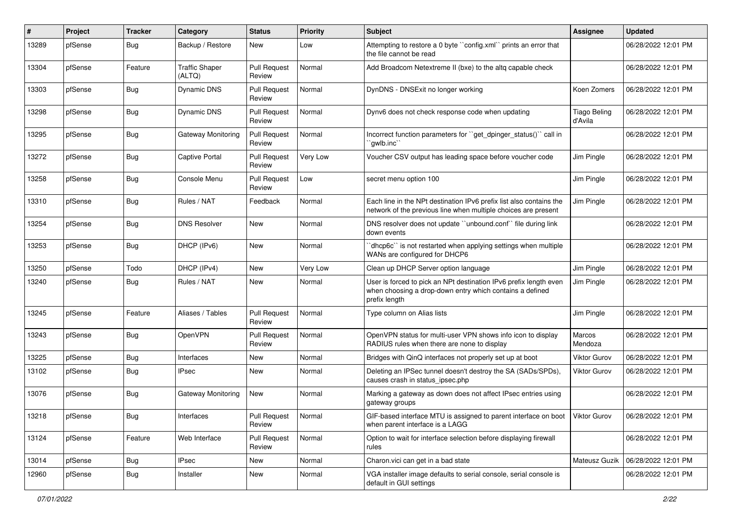| ∦     | Project | <b>Tracker</b> | Category                        | <b>Status</b>                 | <b>Priority</b> | <b>Subject</b>                                                                                                                                 | <b>Assignee</b>                | <b>Updated</b>      |
|-------|---------|----------------|---------------------------------|-------------------------------|-----------------|------------------------------------------------------------------------------------------------------------------------------------------------|--------------------------------|---------------------|
| 13289 | pfSense | <b>Bug</b>     | Backup / Restore                | New                           | Low             | Attempting to restore a 0 byte "config.xml" prints an error that<br>the file cannot be read                                                    |                                | 06/28/2022 12:01 PM |
| 13304 | pfSense | Feature        | <b>Traffic Shaper</b><br>(ALTQ) | <b>Pull Request</b><br>Review | Normal          | Add Broadcom Netextreme II (bxe) to the altg capable check                                                                                     |                                | 06/28/2022 12:01 PM |
| 13303 | pfSense | <b>Bug</b>     | <b>Dynamic DNS</b>              | <b>Pull Request</b><br>Review | Normal          | DynDNS - DNSExit no longer working                                                                                                             | Koen Zomers                    | 06/28/2022 12:01 PM |
| 13298 | pfSense | Bug            | Dynamic DNS                     | <b>Pull Request</b><br>Review | Normal          | Dynv6 does not check response code when updating                                                                                               | <b>Tiago Beling</b><br>d'Avila | 06/28/2022 12:01 PM |
| 13295 | pfSense | <b>Bug</b>     | Gateway Monitoring              | <b>Pull Request</b><br>Review | Normal          | Incorrect function parameters for "get dpinger status()" call in<br>`gwlb.inc``                                                                |                                | 06/28/2022 12:01 PM |
| 13272 | pfSense | <b>Bug</b>     | Captive Portal                  | <b>Pull Request</b><br>Review | Very Low        | Voucher CSV output has leading space before voucher code                                                                                       | Jim Pingle                     | 06/28/2022 12:01 PM |
| 13258 | pfSense | Bug            | Console Menu                    | <b>Pull Request</b><br>Review | Low             | secret menu option 100                                                                                                                         | Jim Pingle                     | 06/28/2022 12:01 PM |
| 13310 | pfSense | <b>Bug</b>     | Rules / NAT                     | Feedback                      | Normal          | Each line in the NPt destination IPv6 prefix list also contains the<br>network of the previous line when multiple choices are present          | Jim Pingle                     | 06/28/2022 12:01 PM |
| 13254 | pfSense | <b>Bug</b>     | <b>DNS Resolver</b>             | <b>New</b>                    | Normal          | DNS resolver does not update "unbound.conf" file during link<br>down events                                                                    |                                | 06/28/2022 12:01 PM |
| 13253 | pfSense | <b>Bug</b>     | DHCP (IPv6)                     | New                           | Normal          | 'dhcp6c'' is not restarted when applying settings when multiple<br>WANs are configured for DHCP6                                               |                                | 06/28/2022 12:01 PM |
| 13250 | pfSense | Todo           | DHCP (IPv4)                     | <b>New</b>                    | Very Low        | Clean up DHCP Server option language                                                                                                           | Jim Pingle                     | 06/28/2022 12:01 PM |
| 13240 | pfSense | <b>Bug</b>     | Rules / NAT                     | <b>New</b>                    | Normal          | User is forced to pick an NPt destination IPv6 prefix length even<br>when choosing a drop-down entry which contains a defined<br>prefix length | Jim Pingle                     | 06/28/2022 12:01 PM |
| 13245 | pfSense | Feature        | Aliases / Tables                | <b>Pull Request</b><br>Review | Normal          | Type column on Alias lists                                                                                                                     | Jim Pingle                     | 06/28/2022 12:01 PM |
| 13243 | pfSense | Bug            | OpenVPN                         | <b>Pull Request</b><br>Review | Normal          | OpenVPN status for multi-user VPN shows info icon to display<br>RADIUS rules when there are none to display                                    | Marcos<br>Mendoza              | 06/28/2022 12:01 PM |
| 13225 | pfSense | <b>Bug</b>     | Interfaces                      | <b>New</b>                    | Normal          | Bridges with QinQ interfaces not properly set up at boot                                                                                       | <b>Viktor Gurov</b>            | 06/28/2022 12:01 PM |
| 13102 | pfSense | <b>Bug</b>     | <b>IPsec</b>                    | <b>New</b>                    | Normal          | Deleting an IPSec tunnel doesn't destroy the SA (SADs/SPDs),<br>causes crash in status_ipsec.php                                               | Viktor Gurov                   | 06/28/2022 12:01 PM |
| 13076 | pfSense | <b>Bug</b>     | Gateway Monitoring              | New                           | Normal          | Marking a gateway as down does not affect IPsec entries using<br>gateway groups                                                                |                                | 06/28/2022 12:01 PM |
| 13218 | pfSense | Bug            | Interfaces                      | <b>Pull Request</b><br>Review | Normal          | GIF-based interface MTU is assigned to parent interface on boot   Viktor Gurov<br>when parent interface is a LAGG                              |                                | 06/28/2022 12:01 PM |
| 13124 | pfSense | Feature        | Web Interface                   | <b>Pull Request</b><br>Review | Normal          | Option to wait for interface selection before displaying firewall<br>rules                                                                     |                                | 06/28/2022 12:01 PM |
| 13014 | pfSense | <b>Bug</b>     | <b>IPsec</b>                    | New                           | Normal          | Charon.vici can get in a bad state                                                                                                             | Mateusz Guzik                  | 06/28/2022 12:01 PM |
| 12960 | pfSense | Bug            | Installer                       | New                           | Normal          | VGA installer image defaults to serial console, serial console is<br>default in GUI settings                                                   |                                | 06/28/2022 12:01 PM |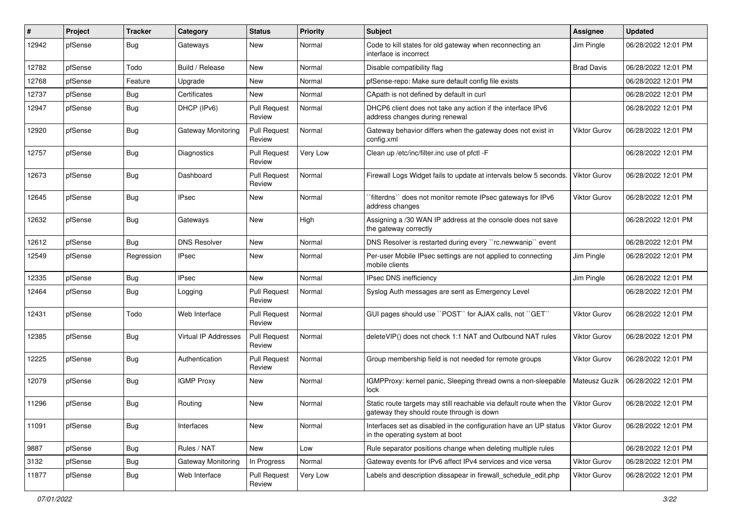| ∦     | Project | <b>Tracker</b> | Category             | <b>Status</b>                 | <b>Priority</b> | Subject                                                                                                          | <b>Assignee</b>     | <b>Updated</b>      |
|-------|---------|----------------|----------------------|-------------------------------|-----------------|------------------------------------------------------------------------------------------------------------------|---------------------|---------------------|
| 12942 | pfSense | Bug            | Gateways             | New                           | Normal          | Code to kill states for old gateway when reconnecting an<br>interface is incorrect                               | Jim Pingle          | 06/28/2022 12:01 PM |
| 12782 | pfSense | Todo           | Build / Release      | New                           | Normal          | Disable compatibility flag                                                                                       | <b>Brad Davis</b>   | 06/28/2022 12:01 PM |
| 12768 | pfSense | Feature        | Upgrade              | New                           | Normal          | pfSense-repo: Make sure default config file exists                                                               |                     | 06/28/2022 12:01 PM |
| 12737 | pfSense | Bug            | Certificates         | New                           | Normal          | CApath is not defined by default in curl                                                                         |                     | 06/28/2022 12:01 PM |
| 12947 | pfSense | Bug            | DHCP (IPv6)          | <b>Pull Request</b><br>Review | Normal          | DHCP6 client does not take any action if the interface IPv6<br>address changes during renewal                    |                     | 06/28/2022 12:01 PM |
| 12920 | pfSense | Bug            | Gateway Monitoring   | <b>Pull Request</b><br>Review | Normal          | Gateway behavior differs when the gateway does not exist in<br>config.xml                                        | <b>Viktor Gurov</b> | 06/28/2022 12:01 PM |
| 12757 | pfSense | <b>Bug</b>     | Diagnostics          | <b>Pull Request</b><br>Review | Very Low        | Clean up /etc/inc/filter.inc use of pfctl -F                                                                     |                     | 06/28/2022 12:01 PM |
| 12673 | pfSense | Bug            | Dashboard            | <b>Pull Request</b><br>Review | Normal          | Firewall Logs Widget fails to update at intervals below 5 seconds.                                               | Viktor Gurov        | 06/28/2022 12:01 PM |
| 12645 | pfSense | Bug            | <b>IPsec</b>         | New                           | Normal          | `filterdns`` does not monitor remote IPsec gateways for IPv6<br>address changes                                  | <b>Viktor Gurov</b> | 06/28/2022 12:01 PM |
| 12632 | pfSense | Bug            | Gateways             | New                           | High            | Assigning a /30 WAN IP address at the console does not save<br>the gateway correctly                             |                     | 06/28/2022 12:01 PM |
| 12612 | pfSense | Bug            | <b>DNS Resolver</b>  | New                           | Normal          | DNS Resolver is restarted during every "rc.newwanip" event                                                       |                     | 06/28/2022 12:01 PM |
| 12549 | pfSense | Regression     | <b>IPsec</b>         | New                           | Normal          | Per-user Mobile IPsec settings are not applied to connecting<br>mobile clients                                   | Jim Pingle          | 06/28/2022 12:01 PM |
| 12335 | pfSense | Bug            | <b>IPsec</b>         | New                           | Normal          | IPsec DNS inefficiency                                                                                           | Jim Pingle          | 06/28/2022 12:01 PM |
| 12464 | pfSense | Bug            | Logging              | <b>Pull Request</b><br>Review | Normal          | Syslog Auth messages are sent as Emergency Level                                                                 |                     | 06/28/2022 12:01 PM |
| 12431 | pfSense | Todo           | Web Interface        | <b>Pull Request</b><br>Review | Normal          | GUI pages should use "POST" for AJAX calls, not "GET"                                                            | Viktor Gurov        | 06/28/2022 12:01 PM |
| 12385 | pfSense | <b>Bug</b>     | Virtual IP Addresses | <b>Pull Request</b><br>Review | Normal          | deleteVIP() does not check 1:1 NAT and Outbound NAT rules                                                        | Viktor Gurov        | 06/28/2022 12:01 PM |
| 12225 | pfSense | Bug            | Authentication       | <b>Pull Request</b><br>Review | Normal          | Group membership field is not needed for remote groups                                                           | Viktor Gurov        | 06/28/2022 12:01 PM |
| 12079 | pfSense | Bug            | <b>IGMP Proxy</b>    | <b>New</b>                    | Normal          | IGMPProxy: kernel panic, Sleeping thread owns a non-sleepable<br>lock                                            | Mateusz Guzik       | 06/28/2022 12:01 PM |
| 11296 | pfSense | Bug            | Routing              | New                           | Normal          | Static route targets may still reachable via default route when the<br>gateway they should route through is down | <b>Viktor Gurov</b> | 06/28/2022 12:01 PM |
| 11091 | pfSense | <b>Bug</b>     | Interfaces           | New                           | Normal          | Interfaces set as disabled in the configuration have an UP status<br>in the operating system at boot             | <b>Viktor Gurov</b> | 06/28/2022 12:01 PM |
| 9887  | pfSense | <b>Bug</b>     | Rules / NAT          | New                           | Low             | Rule separator positions change when deleting multiple rules                                                     |                     | 06/28/2022 12:01 PM |
| 3132  | pfSense | <b>Bug</b>     | Gateway Monitoring   | In Progress                   | Normal          | Gateway events for IPv6 affect IPv4 services and vice versa                                                      | Viktor Gurov        | 06/28/2022 12:01 PM |
| 11877 | pfSense | <b>Bug</b>     | Web Interface        | <b>Pull Request</b><br>Review | Very Low        | Labels and description dissapear in firewall_schedule_edit.php                                                   | <b>Viktor Gurov</b> | 06/28/2022 12:01 PM |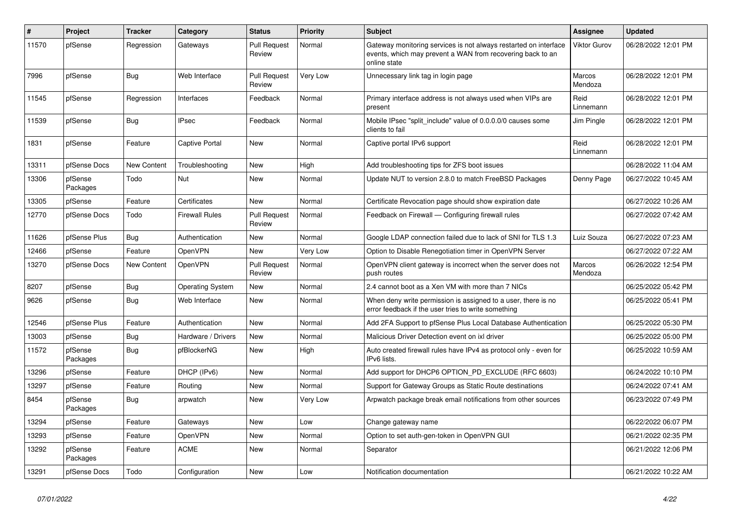| $\pmb{\sharp}$ | <b>Project</b>      | <b>Tracker</b>     | Category           | <b>Status</b>                 | <b>Priority</b> | <b>Subject</b>                                                                                                                                 | Assignee            | <b>Updated</b>      |
|----------------|---------------------|--------------------|--------------------|-------------------------------|-----------------|------------------------------------------------------------------------------------------------------------------------------------------------|---------------------|---------------------|
| 11570          | pfSense             | Regression         | Gateways           | <b>Pull Request</b><br>Review | Normal          | Gateway monitoring services is not always restarted on interface<br>events, which may prevent a WAN from recovering back to an<br>online state | <b>Viktor Gurov</b> | 06/28/2022 12:01 PM |
| 7996           | pfSense             | Bug                | Web Interface      | <b>Pull Request</b><br>Review | Very Low        | Unnecessary link tag in login page                                                                                                             | Marcos<br>Mendoza   | 06/28/2022 12:01 PM |
| 11545          | pfSense             | Regression         | Interfaces         | Feedback                      | Normal          | Primary interface address is not always used when VIPs are<br>present                                                                          | Reid<br>Linnemann   | 06/28/2022 12:01 PM |
| 11539          | pfSense             | Bug                | <b>IPsec</b>       | Feedback                      | Normal          | Mobile IPsec "split include" value of 0.0.0.0/0 causes some<br>clients to fail                                                                 | Jim Pingle          | 06/28/2022 12:01 PM |
| 1831           | pfSense             | Feature            | Captive Portal     | New                           | Normal          | Captive portal IPv6 support                                                                                                                    | Reid<br>Linnemann   | 06/28/2022 12:01 PM |
| 13311          | pfSense Docs        | <b>New Content</b> | Troubleshooting    | New                           | High            | Add troubleshooting tips for ZFS boot issues                                                                                                   |                     | 06/28/2022 11:04 AM |
| 13306          | pfSense<br>Packages | Todo               | Nut                | <b>New</b>                    | Normal          | Update NUT to version 2.8.0 to match FreeBSD Packages                                                                                          | Denny Page          | 06/27/2022 10:45 AM |
| 13305          | pfSense             | Feature            | Certificates       | New                           | Normal          | Certificate Revocation page should show expiration date                                                                                        |                     | 06/27/2022 10:26 AM |
| 12770          | pfSense Docs        | Todo               | Firewall Rules     | <b>Pull Request</b><br>Review | Normal          | Feedback on Firewall - Configuring firewall rules                                                                                              |                     | 06/27/2022 07:42 AM |
| 11626          | pfSense Plus        | Bug                | Authentication     | New                           | Normal          | Google LDAP connection failed due to lack of SNI for TLS 1.3                                                                                   | Luiz Souza          | 06/27/2022 07:23 AM |
| 12466          | pfSense             | Feature            | OpenVPN            | <b>New</b>                    | Very Low        | Option to Disable Renegotiation timer in OpenVPN Server                                                                                        |                     | 06/27/2022 07:22 AM |
| 13270          | pfSense Docs        | New Content        | OpenVPN            | <b>Pull Request</b><br>Review | Normal          | OpenVPN client gateway is incorrect when the server does not<br>push routes                                                                    | Marcos<br>Mendoza   | 06/26/2022 12:54 PM |
| 8207           | pfSense             | <b>Bug</b>         | Operating System   | <b>New</b>                    | Normal          | 2.4 cannot boot as a Xen VM with more than 7 NICs                                                                                              |                     | 06/25/2022 05:42 PM |
| 9626           | pfSense             | <b>Bug</b>         | Web Interface      | <b>New</b>                    | Normal          | When deny write permission is assigned to a user, there is no<br>error feedback if the user tries to write something                           |                     | 06/25/2022 05:41 PM |
| 12546          | pfSense Plus        | Feature            | Authentication     | New                           | Normal          | Add 2FA Support to pfSense Plus Local Database Authentication                                                                                  |                     | 06/25/2022 05:30 PM |
| 13003          | pfSense             | Bug                | Hardware / Drivers | New                           | Normal          | Malicious Driver Detection event on ixl driver                                                                                                 |                     | 06/25/2022 05:00 PM |
| 11572          | pfSense<br>Packages | Bug                | pfBlockerNG        | <b>New</b>                    | High            | Auto created firewall rules have IPv4 as protocol only - even for<br>IPv6 lists.                                                               |                     | 06/25/2022 10:59 AM |
| 13296          | pfSense             | Feature            | DHCP (IPv6)        | <b>New</b>                    | Normal          | Add support for DHCP6 OPTION PD EXCLUDE (RFC 6603)                                                                                             |                     | 06/24/2022 10:10 PM |
| 13297          | pfSense             | Feature            | Routing            | <b>New</b>                    | Normal          | Support for Gateway Groups as Static Route destinations                                                                                        |                     | 06/24/2022 07:41 AM |
| 8454           | pfSense<br>Packages | Bug                | arpwatch           | <b>New</b>                    | Very Low        | Arpwatch package break email notifications from other sources                                                                                  |                     | 06/23/2022 07:49 PM |
| 13294          | pfSense             | Feature            | Gateways           | New                           | Low             | Change gateway name                                                                                                                            |                     | 06/22/2022 06:07 PM |
| 13293          | pfSense             | Feature            | OpenVPN            | New                           | Normal          | Option to set auth-gen-token in OpenVPN GUI                                                                                                    |                     | 06/21/2022 02:35 PM |
| 13292          | pfSense<br>Packages | Feature            | <b>ACME</b>        | New                           | Normal          | Separator                                                                                                                                      |                     | 06/21/2022 12:06 PM |
| 13291          | pfSense Docs        | Todo               | Configuration      | New                           | Low             | Notification documentation                                                                                                                     |                     | 06/21/2022 10:22 AM |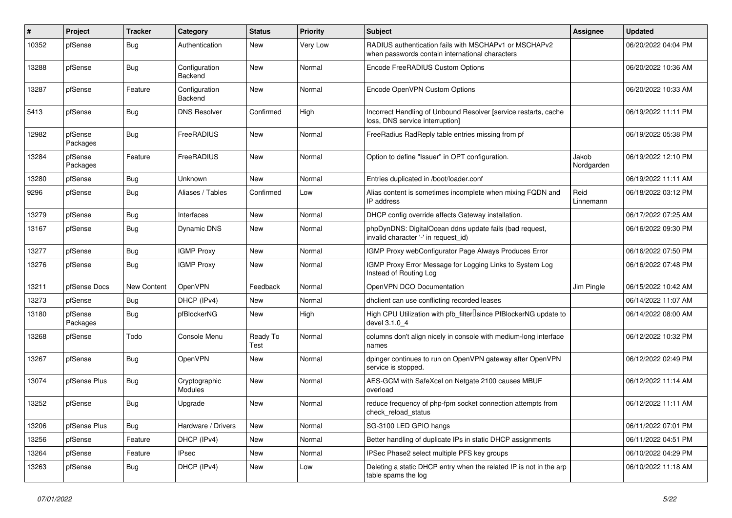| ∦     | Project             | <b>Tracker</b> | Category                 | <b>Status</b>    | <b>Priority</b> | <b>Subject</b>                                                                                           | Assignee            | <b>Updated</b>      |
|-------|---------------------|----------------|--------------------------|------------------|-----------------|----------------------------------------------------------------------------------------------------------|---------------------|---------------------|
| 10352 | pfSense             | Bug            | Authentication           | <b>New</b>       | Very Low        | RADIUS authentication fails with MSCHAPv1 or MSCHAPv2<br>when passwords contain international characters |                     | 06/20/2022 04:04 PM |
| 13288 | pfSense             | Bug            | Configuration<br>Backend | <b>New</b>       | Normal          | Encode FreeRADIUS Custom Options                                                                         |                     | 06/20/2022 10:36 AM |
| 13287 | pfSense             | Feature        | Configuration<br>Backend | <b>New</b>       | Normal          | Encode OpenVPN Custom Options                                                                            |                     | 06/20/2022 10:33 AM |
| 5413  | pfSense             | Bug            | <b>DNS Resolver</b>      | Confirmed        | High            | Incorrect Handling of Unbound Resolver [service restarts, cache<br>loss, DNS service interruption]       |                     | 06/19/2022 11:11 PM |
| 12982 | pfSense<br>Packages | <b>Bug</b>     | FreeRADIUS               | New              | Normal          | FreeRadius RadReply table entries missing from pf                                                        |                     | 06/19/2022 05:38 PM |
| 13284 | pfSense<br>Packages | Feature        | FreeRADIUS               | New              | Normal          | Option to define "Issuer" in OPT configuration.                                                          | Jakob<br>Nordgarden | 06/19/2022 12:10 PM |
| 13280 | pfSense             | Bug            | Unknown                  | <b>New</b>       | Normal          | Entries duplicated in /boot/loader.conf                                                                  |                     | 06/19/2022 11:11 AM |
| 9296  | pfSense             | Bug            | Aliases / Tables         | Confirmed        | Low             | Alias content is sometimes incomplete when mixing FQDN and<br>IP address                                 | Reid<br>Linnemann   | 06/18/2022 03:12 PM |
| 13279 | pfSense             | Bug            | Interfaces               | <b>New</b>       | Normal          | DHCP config override affects Gateway installation.                                                       |                     | 06/17/2022 07:25 AM |
| 13167 | pfSense             | <b>Bug</b>     | <b>Dynamic DNS</b>       | <b>New</b>       | Normal          | phpDynDNS: DigitalOcean ddns update fails (bad request,<br>invalid character '-' in request_id)          |                     | 06/16/2022 09:30 PM |
| 13277 | pfSense             | Bug            | <b>IGMP Proxy</b>        | <b>New</b>       | Normal          | IGMP Proxy webConfigurator Page Always Produces Error                                                    |                     | 06/16/2022 07:50 PM |
| 13276 | pfSense             | <b>Bug</b>     | <b>IGMP Proxy</b>        | New              | Normal          | IGMP Proxy Error Message for Logging Links to System Log<br>Instead of Routing Log                       |                     | 06/16/2022 07:48 PM |
| 13211 | pfSense Docs        | New Content    | OpenVPN                  | Feedback         | Normal          | OpenVPN DCO Documentation                                                                                | Jim Pingle          | 06/15/2022 10:42 AM |
| 13273 | pfSense             | Bug            | DHCP (IPv4)              | <b>New</b>       | Normal          | dhclient can use conflicting recorded leases                                                             |                     | 06/14/2022 11:07 AM |
| 13180 | pfSense<br>Packages | <b>Bug</b>     | pfBlockerNG              | <b>New</b>       | High            | High CPU Utilization with pfb_filter <sup>[]</sup> since PfBlockerNG update to<br>devel 3.1.0_4          |                     | 06/14/2022 08:00 AM |
| 13268 | pfSense             | Todo           | Console Menu             | Ready To<br>Test | Normal          | columns don't align nicely in console with medium-long interface<br>names                                |                     | 06/12/2022 10:32 PM |
| 13267 | pfSense             | <b>Bug</b>     | OpenVPN                  | New              | Normal          | dpinger continues to run on OpenVPN gateway after OpenVPN<br>service is stopped.                         |                     | 06/12/2022 02:49 PM |
| 13074 | pfSense Plus        | Bug            | Cryptographic<br>Modules | <b>New</b>       | Normal          | AES-GCM with SafeXcel on Netgate 2100 causes MBUF<br>overload                                            |                     | 06/12/2022 11:14 AM |
| 13252 | pfSense             | <b>Bug</b>     | Upgrade                  | <b>New</b>       | Normal          | reduce frequency of php-fpm socket connection attempts from<br>check_reload_status                       |                     | 06/12/2022 11:11 AM |
| 13206 | pfSense Plus        | Bug            | Hardware / Drivers       | New              | Normal          | SG-3100 LED GPIO hangs                                                                                   |                     | 06/11/2022 07:01 PM |
| 13256 | pfSense             | Feature        | DHCP (IPv4)              | New              | Normal          | Better handling of duplicate IPs in static DHCP assignments                                              |                     | 06/11/2022 04:51 PM |
| 13264 | pfSense             | Feature        | <b>IPsec</b>             | New              | Normal          | IPSec Phase2 select multiple PFS key groups                                                              |                     | 06/10/2022 04:29 PM |
| 13263 | pfSense             | <b>Bug</b>     | DHCP (IPv4)              | New              | Low             | Deleting a static DHCP entry when the related IP is not in the arp<br>table spams the log                |                     | 06/10/2022 11:18 AM |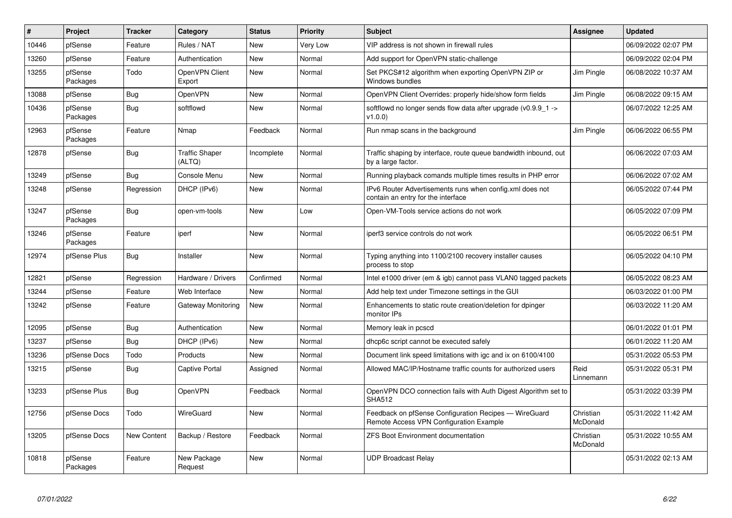| #     | Project             | <b>Tracker</b>     | Category                        | <b>Status</b> | <b>Priority</b> | <b>Subject</b>                                                                                   | Assignee              | <b>Updated</b>      |
|-------|---------------------|--------------------|---------------------------------|---------------|-----------------|--------------------------------------------------------------------------------------------------|-----------------------|---------------------|
| 10446 | pfSense             | Feature            | Rules / NAT                     | <b>New</b>    | Very Low        | VIP address is not shown in firewall rules                                                       |                       | 06/09/2022 02:07 PM |
| 13260 | pfSense             | Feature            | Authentication                  | <b>New</b>    | Normal          | Add support for OpenVPN static-challenge                                                         |                       | 06/09/2022 02:04 PM |
| 13255 | pfSense<br>Packages | Todo               | OpenVPN Client<br>Export        | <b>New</b>    | Normal          | Set PKCS#12 algorithm when exporting OpenVPN ZIP or<br>Windows bundles                           | Jim Pingle            | 06/08/2022 10:37 AM |
| 13088 | pfSense             | Bug                | <b>OpenVPN</b>                  | <b>New</b>    | Normal          | OpenVPN Client Overrides: properly hide/show form fields                                         | Jim Pingle            | 06/08/2022 09:15 AM |
| 10436 | pfSense<br>Packages | Bug                | softflowd                       | <b>New</b>    | Normal          | softflowd no longer sends flow data after upgrade ( $v0.9.9$ 1 -><br>v1.0.0                      |                       | 06/07/2022 12:25 AM |
| 12963 | pfSense<br>Packages | Feature            | Nmap                            | Feedback      | Normal          | Run nmap scans in the background                                                                 | Jim Pingle            | 06/06/2022 06:55 PM |
| 12878 | pfSense             | <b>Bug</b>         | <b>Traffic Shaper</b><br>(ALTQ) | Incomplete    | Normal          | Traffic shaping by interface, route queue bandwidth inbound, out<br>by a large factor.           |                       | 06/06/2022 07:03 AM |
| 13249 | pfSense             | Bug                | Console Menu                    | New           | Normal          | Running playback comands multiple times results in PHP error                                     |                       | 06/06/2022 07:02 AM |
| 13248 | pfSense             | Regression         | DHCP (IPv6)                     | <b>New</b>    | Normal          | IPv6 Router Advertisements runs when config.xml does not<br>contain an entry for the interface   |                       | 06/05/2022 07:44 PM |
| 13247 | pfSense<br>Packages | Bug                | open-vm-tools                   | New           | Low             | Open-VM-Tools service actions do not work                                                        |                       | 06/05/2022 07:09 PM |
| 13246 | pfSense<br>Packages | Feature            | iperf                           | New           | Normal          | iperf3 service controls do not work                                                              |                       | 06/05/2022 06:51 PM |
| 12974 | pfSense Plus        | Bug                | Installer                       | New           | Normal          | Typing anything into 1100/2100 recovery installer causes<br>process to stop                      |                       | 06/05/2022 04:10 PM |
| 12821 | pfSense             | Regression         | Hardware / Drivers              | Confirmed     | Normal          | Intel e1000 driver (em & igb) cannot pass VLAN0 tagged packets                                   |                       | 06/05/2022 08:23 AM |
| 13244 | pfSense             | Feature            | Web Interface                   | <b>New</b>    | Normal          | Add help text under Timezone settings in the GUI                                                 |                       | 06/03/2022 01:00 PM |
| 13242 | pfSense             | Feature            | Gateway Monitoring              | <b>New</b>    | Normal          | Enhancements to static route creation/deletion for dpinger<br>monitor IPs                        |                       | 06/03/2022 11:20 AM |
| 12095 | pfSense             | <b>Bug</b>         | Authentication                  | <b>New</b>    | Normal          | Memory leak in pcscd                                                                             |                       | 06/01/2022 01:01 PM |
| 13237 | pfSense             | <b>Bug</b>         | DHCP (IPv6)                     | <b>New</b>    | Normal          | dhcp6c script cannot be executed safely                                                          |                       | 06/01/2022 11:20 AM |
| 13236 | pfSense Docs        | Todo               | Products                        | New           | Normal          | Document link speed limitations with igc and ix on 6100/4100                                     |                       | 05/31/2022 05:53 PM |
| 13215 | pfSense             | <b>Bug</b>         | Captive Portal                  | Assigned      | Normal          | Allowed MAC/IP/Hostname traffic counts for authorized users                                      | Reid<br>Linnemann     | 05/31/2022 05:31 PM |
| 13233 | pfSense Plus        | <b>Bug</b>         | <b>OpenVPN</b>                  | Feedback      | Normal          | OpenVPN DCO connection fails with Auth Digest Algorithm set to<br><b>SHA512</b>                  |                       | 05/31/2022 03:39 PM |
| 12756 | pfSense Docs        | Todo               | WireGuard                       | <b>New</b>    | Normal          | Feedback on pfSense Configuration Recipes - WireGuard<br>Remote Access VPN Configuration Example | Christian<br>McDonald | 05/31/2022 11:42 AM |
| 13205 | pfSense Docs        | <b>New Content</b> | Backup / Restore                | Feedback      | Normal          | <b>ZFS Boot Environment documentation</b>                                                        | Christian<br>McDonald | 05/31/2022 10:55 AM |
| 10818 | pfSense<br>Packages | Feature            | New Package<br>Request          | <b>New</b>    | Normal          | <b>UDP Broadcast Relay</b>                                                                       |                       | 05/31/2022 02:13 AM |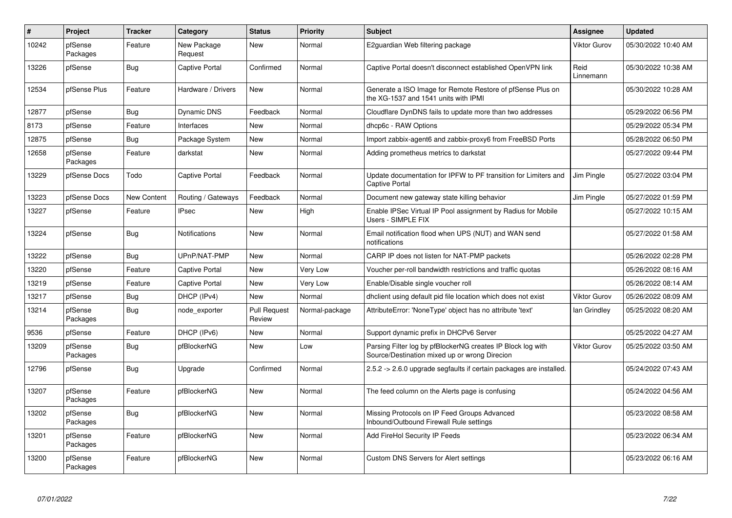| $\sharp$ | Project             | <b>Tracker</b> | Category               | <b>Status</b>                 | <b>Priority</b> | <b>Subject</b>                                                                                               | Assignee            | <b>Updated</b>      |
|----------|---------------------|----------------|------------------------|-------------------------------|-----------------|--------------------------------------------------------------------------------------------------------------|---------------------|---------------------|
| 10242    | pfSense<br>Packages | Feature        | New Package<br>Request | <b>New</b>                    | Normal          | E2guardian Web filtering package                                                                             | <b>Viktor Gurov</b> | 05/30/2022 10:40 AM |
| 13226    | pfSense             | <b>Bug</b>     | Captive Portal         | Confirmed                     | Normal          | Captive Portal doesn't disconnect established OpenVPN link                                                   | Reid<br>Linnemann   | 05/30/2022 10:38 AM |
| 12534    | pfSense Plus        | Feature        | Hardware / Drivers     | <b>New</b>                    | Normal          | Generate a ISO Image for Remote Restore of pfSense Plus on<br>the XG-1537 and 1541 units with IPMI           |                     | 05/30/2022 10:28 AM |
| 12877    | pfSense             | Bug            | <b>Dynamic DNS</b>     | Feedback                      | Normal          | Cloudflare DynDNS fails to update more than two addresses                                                    |                     | 05/29/2022 06:56 PM |
| 8173     | pfSense             | Feature        | Interfaces             | New                           | Normal          | dhcp6c - RAW Options                                                                                         |                     | 05/29/2022 05:34 PM |
| 12875    | pfSense             | Bug            | Package System         | New                           | Normal          | Import zabbix-agent6 and zabbix-proxy6 from FreeBSD Ports                                                    |                     | 05/28/2022 06:50 PM |
| 12658    | pfSense<br>Packages | Feature        | darkstat               | <b>New</b>                    | Normal          | Adding prometheus metrics to darkstat                                                                        |                     | 05/27/2022 09:44 PM |
| 13229    | pfSense Docs        | Todo           | Captive Portal         | Feedback                      | Normal          | Update documentation for IPFW to PF transition for Limiters and<br><b>Captive Portal</b>                     | Jim Pingle          | 05/27/2022 03:04 PM |
| 13223    | pfSense Docs        | New Content    | Routing / Gateways     | Feedback                      | Normal          | Document new gateway state killing behavior                                                                  | Jim Pingle          | 05/27/2022 01:59 PM |
| 13227    | pfSense             | Feature        | IPsec                  | New                           | High            | Enable IPSec Virtual IP Pool assignment by Radius for Mobile<br>Users - SIMPLE FIX                           |                     | 05/27/2022 10:15 AM |
| 13224    | pfSense             | <b>Bug</b>     | Notifications          | <b>New</b>                    | Normal          | Email notification flood when UPS (NUT) and WAN send<br>notifications                                        |                     | 05/27/2022 01:58 AM |
| 13222    | pfSense             | Bug            | UPnP/NAT-PMP           | <b>New</b>                    | Normal          | CARP IP does not listen for NAT-PMP packets                                                                  |                     | 05/26/2022 02:28 PM |
| 13220    | pfSense             | Feature        | Captive Portal         | New                           | Very Low        | Voucher per-roll bandwidth restrictions and traffic quotas                                                   |                     | 05/26/2022 08:16 AM |
| 13219    | pfSense             | Feature        | Captive Portal         | New                           | Very Low        | Enable/Disable single voucher roll                                                                           |                     | 05/26/2022 08:14 AM |
| 13217    | pfSense             | Bug            | DHCP (IPv4)            | <b>New</b>                    | Normal          | dhclient using default pid file location which does not exist                                                | <b>Viktor Gurov</b> | 05/26/2022 08:09 AM |
| 13214    | pfSense<br>Packages | <b>Bug</b>     | node exporter          | <b>Pull Request</b><br>Review | Normal-package  | AttributeError: 'NoneType' object has no attribute 'text'                                                    | lan Grindley        | 05/25/2022 08:20 AM |
| 9536     | pfSense             | Feature        | DHCP (IPv6)            | <b>New</b>                    | Normal          | Support dynamic prefix in DHCPv6 Server                                                                      |                     | 05/25/2022 04:27 AM |
| 13209    | pfSense<br>Packages | <b>Bug</b>     | pfBlockerNG            | <b>New</b>                    | Low             | Parsing Filter log by pfBlockerNG creates IP Block log with<br>Source/Destination mixed up or wrong Direcion | <b>Viktor Gurov</b> | 05/25/2022 03:50 AM |
| 12796    | pfSense             | Bug            | Upgrade                | Confirmed                     | Normal          | 2.5.2 -> 2.6.0 upgrade segfaults if certain packages are installed.                                          |                     | 05/24/2022 07:43 AM |
| 13207    | pfSense<br>Packages | Feature        | pfBlockerNG            | New                           | Normal          | The feed column on the Alerts page is confusing                                                              |                     | 05/24/2022 04:56 AM |
| 13202    | pfSense<br>Packages | <b>Bug</b>     | pfBlockerNG            | <b>New</b>                    | Normal          | Missing Protocols on IP Feed Groups Advanced<br>Inbound/Outbound Firewall Rule settings                      |                     | 05/23/2022 08:58 AM |
| 13201    | pfSense<br>Packages | Feature        | pfBlockerNG            | <b>New</b>                    | Normal          | Add FireHol Security IP Feeds                                                                                |                     | 05/23/2022 06:34 AM |
| 13200    | pfSense<br>Packages | Feature        | pfBlockerNG            | <b>New</b>                    | Normal          | Custom DNS Servers for Alert settings                                                                        |                     | 05/23/2022 06:16 AM |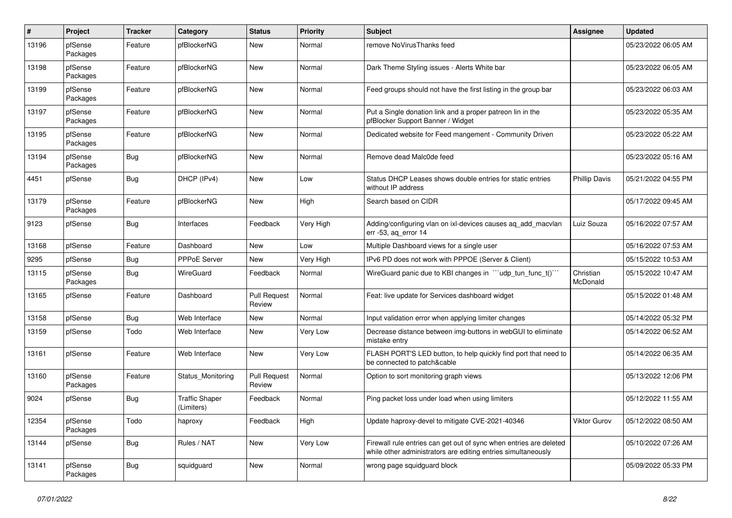| $\#$  | Project             | <b>Tracker</b> | Category                            | <b>Status</b>                 | <b>Priority</b> | <b>Subject</b>                                                                                                                      | <b>Assignee</b>       | <b>Updated</b>      |
|-------|---------------------|----------------|-------------------------------------|-------------------------------|-----------------|-------------------------------------------------------------------------------------------------------------------------------------|-----------------------|---------------------|
| 13196 | pfSense<br>Packages | Feature        | pfBlockerNG                         | New                           | Normal          | remove NoVirusThanks feed                                                                                                           |                       | 05/23/2022 06:05 AM |
| 13198 | pfSense<br>Packages | Feature        | pfBlockerNG                         | New                           | Normal          | Dark Theme Styling issues - Alerts White bar                                                                                        |                       | 05/23/2022 06:05 AM |
| 13199 | pfSense<br>Packages | Feature        | pfBlockerNG                         | New                           | Normal          | Feed groups should not have the first listing in the group bar                                                                      |                       | 05/23/2022 06:03 AM |
| 13197 | pfSense<br>Packages | Feature        | pfBlockerNG                         | New                           | Normal          | Put a Single donation link and a proper patreon lin in the<br>pfBlocker Support Banner / Widget                                     |                       | 05/23/2022 05:35 AM |
| 13195 | pfSense<br>Packages | Feature        | pfBlockerNG                         | New                           | Normal          | Dedicated website for Feed mangement - Community Driven                                                                             |                       | 05/23/2022 05:22 AM |
| 13194 | pfSense<br>Packages | <b>Bug</b>     | pfBlockerNG                         | New                           | Normal          | Remove dead Malc0de feed                                                                                                            |                       | 05/23/2022 05:16 AM |
| 4451  | pfSense             | <b>Bug</b>     | DHCP (IPv4)                         | New                           | Low             | Status DHCP Leases shows double entries for static entries<br>without IP address                                                    | <b>Phillip Davis</b>  | 05/21/2022 04:55 PM |
| 13179 | pfSense<br>Packages | Feature        | pfBlockerNG                         | New                           | High            | Search based on CIDR                                                                                                                |                       | 05/17/2022 09:45 AM |
| 9123  | pfSense             | Bug            | Interfaces                          | Feedback                      | Very High       | Adding/configuring vlan on ixl-devices causes ag add macvlan<br>err -53, aq_error 14                                                | Luiz Souza            | 05/16/2022 07:57 AM |
| 13168 | pfSense             | Feature        | Dashboard                           | New                           | Low             | Multiple Dashboard views for a single user                                                                                          |                       | 05/16/2022 07:53 AM |
| 9295  | pfSense             | <b>Bug</b>     | <b>PPPoE Server</b>                 | New                           | Very High       | IPv6 PD does not work with PPPOE (Server & Client)                                                                                  |                       | 05/15/2022 10:53 AM |
| 13115 | pfSense<br>Packages | <b>Bug</b>     | WireGuard                           | Feedback                      | Normal          | WireGuard panic due to KBI changes in ""udp_tun_func_t()""                                                                          | Christian<br>McDonald | 05/15/2022 10:47 AM |
| 13165 | pfSense             | Feature        | Dashboard                           | <b>Pull Request</b><br>Review | Normal          | Feat: live update for Services dashboard widget                                                                                     |                       | 05/15/2022 01:48 AM |
| 13158 | pfSense             | <b>Bug</b>     | Web Interface                       | <b>New</b>                    | Normal          | Input validation error when applying limiter changes                                                                                |                       | 05/14/2022 05:32 PM |
| 13159 | pfSense             | Todo           | Web Interface                       | <b>New</b>                    | Very Low        | Decrease distance between img-buttons in webGUI to eliminate<br>mistake entry                                                       |                       | 05/14/2022 06:52 AM |
| 13161 | pfSense             | Feature        | Web Interface                       | New                           | Very Low        | FLASH PORT'S LED button, to help quickly find port that need to<br>be connected to patch&cable                                      |                       | 05/14/2022 06:35 AM |
| 13160 | pfSense<br>Packages | Feature        | Status Monitoring                   | <b>Pull Request</b><br>Review | Normal          | Option to sort monitoring graph views                                                                                               |                       | 05/13/2022 12:06 PM |
| 9024  | pfSense             | <b>Bug</b>     | <b>Traffic Shaper</b><br>(Limiters) | Feedback                      | Normal          | Ping packet loss under load when using limiters                                                                                     |                       | 05/12/2022 11:55 AM |
| 12354 | pfSense<br>Packages | Todo           | haproxy                             | Feedback                      | High            | Update haproxy-devel to mitigate CVE-2021-40346                                                                                     | <b>Viktor Gurov</b>   | 05/12/2022 08:50 AM |
| 13144 | pfSense             | Bug            | Rules / NAT                         | New                           | Very Low        | Firewall rule entries can get out of sync when entries are deleted<br>while other administrators are editing entries simultaneously |                       | 05/10/2022 07:26 AM |
| 13141 | pfSense<br>Packages | Bug            | squidguard                          | New                           | Normal          | wrong page squidguard block                                                                                                         |                       | 05/09/2022 05:33 PM |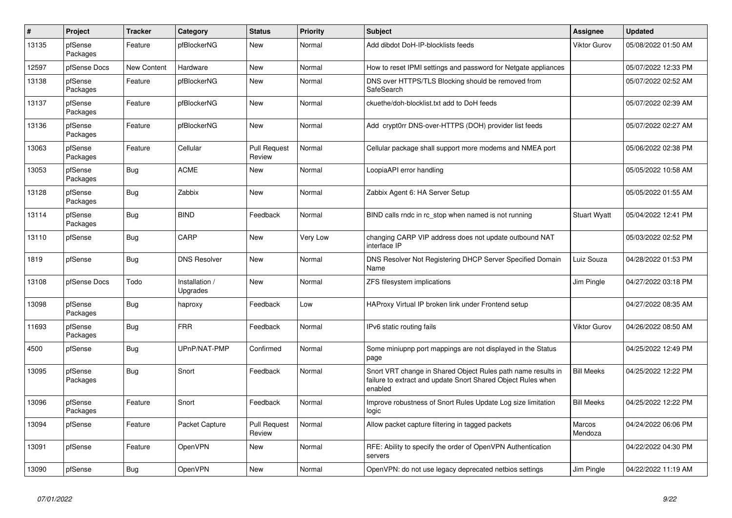| $\sharp$ | Project             | <b>Tracker</b> | Category                   | <b>Status</b>                 | <b>Priority</b> | <b>Subject</b>                                                                                                                          | Assignee            | <b>Updated</b>      |
|----------|---------------------|----------------|----------------------------|-------------------------------|-----------------|-----------------------------------------------------------------------------------------------------------------------------------------|---------------------|---------------------|
| 13135    | pfSense<br>Packages | Feature        | pfBlockerNG                | New                           | Normal          | Add dibdot DoH-IP-blocklists feeds                                                                                                      | Viktor Gurov        | 05/08/2022 01:50 AM |
| 12597    | pfSense Docs        | New Content    | Hardware                   | <b>New</b>                    | Normal          | How to reset IPMI settings and password for Netgate appliances                                                                          |                     | 05/07/2022 12:33 PM |
| 13138    | pfSense<br>Packages | Feature        | pfBlockerNG                | New                           | Normal          | DNS over HTTPS/TLS Blocking should be removed from<br>SafeSearch                                                                        |                     | 05/07/2022 02:52 AM |
| 13137    | pfSense<br>Packages | Feature        | pfBlockerNG                | <b>New</b>                    | Normal          | ckuethe/doh-blocklist.txt add to DoH feeds                                                                                              |                     | 05/07/2022 02:39 AM |
| 13136    | pfSense<br>Packages | Feature        | pfBlockerNG                | <b>New</b>                    | Normal          | Add crypt0rr DNS-over-HTTPS (DOH) provider list feeds                                                                                   |                     | 05/07/2022 02:27 AM |
| 13063    | pfSense<br>Packages | Feature        | Cellular                   | <b>Pull Request</b><br>Review | Normal          | Cellular package shall support more modems and NMEA port                                                                                |                     | 05/06/2022 02:38 PM |
| 13053    | pfSense<br>Packages | <b>Bug</b>     | ACME                       | New                           | Normal          | LoopiaAPI error handling                                                                                                                |                     | 05/05/2022 10:58 AM |
| 13128    | pfSense<br>Packages | <b>Bug</b>     | Zabbix                     | <b>New</b>                    | Normal          | Zabbix Agent 6: HA Server Setup                                                                                                         |                     | 05/05/2022 01:55 AM |
| 13114    | pfSense<br>Packages | Bug            | <b>BIND</b>                | Feedback                      | Normal          | BIND calls rndc in rc stop when named is not running                                                                                    | <b>Stuart Wyatt</b> | 05/04/2022 12:41 PM |
| 13110    | pfSense             | <b>Bug</b>     | CARP                       | <b>New</b>                    | Very Low        | changing CARP VIP address does not update outbound NAT<br>interface IP                                                                  |                     | 05/03/2022 02:52 PM |
| 1819     | pfSense             | <b>Bug</b>     | <b>DNS Resolver</b>        | New                           | Normal          | DNS Resolver Not Registering DHCP Server Specified Domain<br>Name                                                                       | Luiz Souza          | 04/28/2022 01:53 PM |
| 13108    | pfSense Docs        | Todo           | Installation /<br>Upgrades | <b>New</b>                    | Normal          | ZFS filesystem implications                                                                                                             | Jim Pingle          | 04/27/2022 03:18 PM |
| 13098    | pfSense<br>Packages | <b>Bug</b>     | haproxy                    | Feedback                      | Low             | HAProxy Virtual IP broken link under Frontend setup                                                                                     |                     | 04/27/2022 08:35 AM |
| 11693    | pfSense<br>Packages | Bug            | <b>FRR</b>                 | Feedback                      | Normal          | IPv6 static routing fails                                                                                                               | <b>Viktor Gurov</b> | 04/26/2022 08:50 AM |
| 4500     | pfSense             | Bug            | UPnP/NAT-PMP               | Confirmed                     | Normal          | Some miniupnp port mappings are not displayed in the Status<br>page                                                                     |                     | 04/25/2022 12:49 PM |
| 13095    | pfSense<br>Packages | <b>Bug</b>     | Snort                      | Feedback                      | Normal          | Snort VRT change in Shared Object Rules path name results in<br>failure to extract and update Snort Shared Object Rules when<br>enabled | <b>Bill Meeks</b>   | 04/25/2022 12:22 PM |
| 13096    | pfSense<br>Packages | Feature        | Snort                      | Feedback                      | Normal          | Improve robustness of Snort Rules Update Log size limitation<br>logic                                                                   | <b>Bill Meeks</b>   | 04/25/2022 12:22 PM |
| 13094    | pfSense             | Feature        | Packet Capture             | <b>Pull Request</b><br>Review | Normal          | Allow packet capture filtering in tagged packets                                                                                        | Marcos<br>Mendoza   | 04/24/2022 06:06 PM |
| 13091    | pfSense             | Feature        | OpenVPN                    | <b>New</b>                    | Normal          | RFE: Ability to specify the order of OpenVPN Authentication<br>servers                                                                  |                     | 04/22/2022 04:30 PM |
| 13090    | pfSense             | Bug            | OpenVPN                    | <b>New</b>                    | Normal          | OpenVPN: do not use legacy deprecated netbios settings                                                                                  | Jim Pingle          | 04/22/2022 11:19 AM |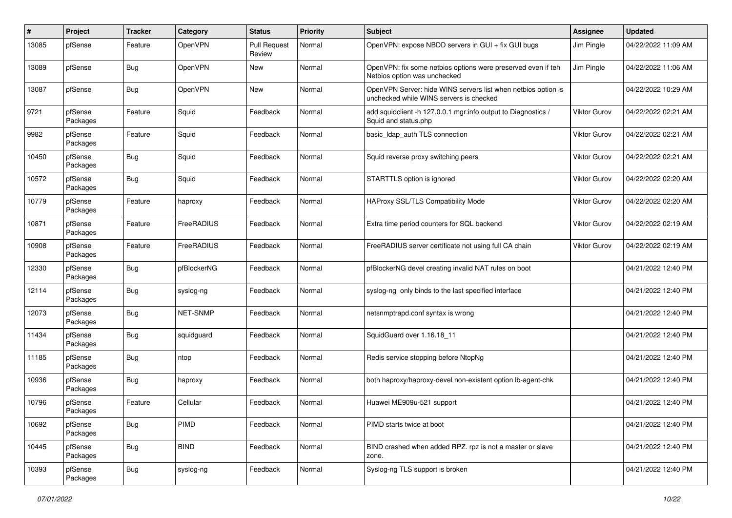| $\#$  | Project             | <b>Tracker</b> | Category        | <b>Status</b>                 | <b>Priority</b> | <b>Subject</b>                                                                                           | <b>Assignee</b>     | <b>Updated</b>      |
|-------|---------------------|----------------|-----------------|-------------------------------|-----------------|----------------------------------------------------------------------------------------------------------|---------------------|---------------------|
| 13085 | pfSense             | Feature        | OpenVPN         | <b>Pull Request</b><br>Review | Normal          | OpenVPN: expose NBDD servers in GUI + fix GUI bugs                                                       | Jim Pingle          | 04/22/2022 11:09 AM |
| 13089 | pfSense             | Bug            | OpenVPN         | <b>New</b>                    | Normal          | OpenVPN: fix some netbios options were preserved even if teh<br>Netbios option was unchecked             | Jim Pingle          | 04/22/2022 11:06 AM |
| 13087 | pfSense             | Bug            | OpenVPN         | <b>New</b>                    | Normal          | OpenVPN Server: hide WINS servers list when netbios option is<br>unchecked while WINS servers is checked |                     | 04/22/2022 10:29 AM |
| 9721  | pfSense<br>Packages | Feature        | Squid           | Feedback                      | Normal          | add squidclient -h 127.0.0.1 mgr:info output to Diagnostics /<br>Squid and status.php                    | <b>Viktor Gurov</b> | 04/22/2022 02:21 AM |
| 9982  | pfSense<br>Packages | Feature        | Squid           | Feedback                      | Normal          | basic_Idap_auth TLS connection                                                                           | <b>Viktor Gurov</b> | 04/22/2022 02:21 AM |
| 10450 | pfSense<br>Packages | <b>Bug</b>     | Squid           | Feedback                      | Normal          | Squid reverse proxy switching peers                                                                      | <b>Viktor Gurov</b> | 04/22/2022 02:21 AM |
| 10572 | pfSense<br>Packages | <b>Bug</b>     | Squid           | Feedback                      | Normal          | STARTTLS option is ignored                                                                               | Viktor Gurov        | 04/22/2022 02:20 AM |
| 10779 | pfSense<br>Packages | Feature        | haproxy         | Feedback                      | Normal          | HAProxy SSL/TLS Compatibility Mode                                                                       | Viktor Gurov        | 04/22/2022 02:20 AM |
| 10871 | pfSense<br>Packages | Feature        | FreeRADIUS      | Feedback                      | Normal          | Extra time period counters for SQL backend                                                               | Viktor Gurov        | 04/22/2022 02:19 AM |
| 10908 | pfSense<br>Packages | Feature        | FreeRADIUS      | Feedback                      | Normal          | FreeRADIUS server certificate not using full CA chain                                                    | Viktor Gurov        | 04/22/2022 02:19 AM |
| 12330 | pfSense<br>Packages | <b>Bug</b>     | pfBlockerNG     | Feedback                      | Normal          | pfBlockerNG devel creating invalid NAT rules on boot                                                     |                     | 04/21/2022 12:40 PM |
| 12114 | pfSense<br>Packages | <b>Bug</b>     | syslog-ng       | Feedback                      | Normal          | syslog-ng only binds to the last specified interface                                                     |                     | 04/21/2022 12:40 PM |
| 12073 | pfSense<br>Packages | <b>Bug</b>     | <b>NET-SNMP</b> | Feedback                      | Normal          | netsnmptrapd.conf syntax is wrong                                                                        |                     | 04/21/2022 12:40 PM |
| 11434 | pfSense<br>Packages | <b>Bug</b>     | squidguard      | Feedback                      | Normal          | SquidGuard over 1.16.18 11                                                                               |                     | 04/21/2022 12:40 PM |
| 11185 | pfSense<br>Packages | <b>Bug</b>     | ntop            | Feedback                      | Normal          | Redis service stopping before NtopNg                                                                     |                     | 04/21/2022 12:40 PM |
| 10936 | pfSense<br>Packages | <b>Bug</b>     | haproxy         | Feedback                      | Normal          | both haproxy/haproxy-devel non-existent option lb-agent-chk                                              |                     | 04/21/2022 12:40 PM |
| 10796 | pfSense<br>Packages | Feature        | Cellular        | Feedback                      | Normal          | Huawei ME909u-521 support                                                                                |                     | 04/21/2022 12:40 PM |
| 10692 | pfSense<br>Packages | <b>Bug</b>     | PIMD            | Feedback                      | Normal          | PIMD starts twice at boot                                                                                |                     | 04/21/2022 12:40 PM |
| 10445 | pfSense<br>Packages | Bug            | <b>BIND</b>     | Feedback                      | Normal          | BIND crashed when added RPZ. rpz is not a master or slave<br>zone.                                       |                     | 04/21/2022 12:40 PM |
| 10393 | pfSense<br>Packages | <b>Bug</b>     | syslog-ng       | Feedback                      | Normal          | Syslog-ng TLS support is broken                                                                          |                     | 04/21/2022 12:40 PM |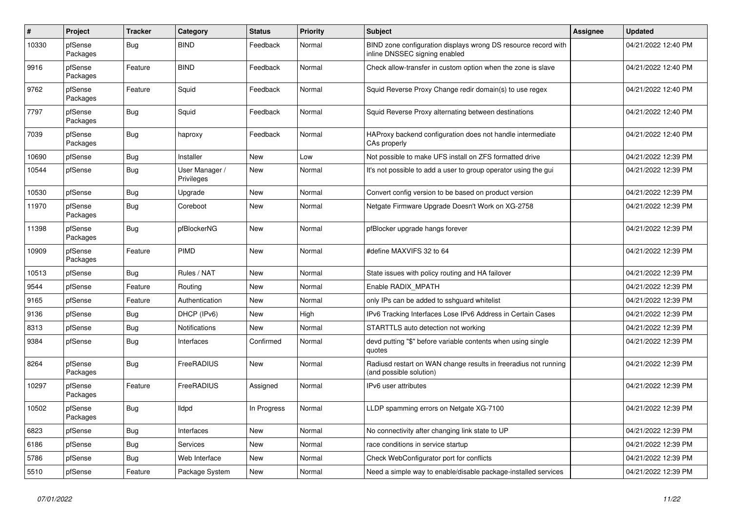| $\sharp$ | Project             | <b>Tracker</b> | Category                     | <b>Status</b> | <b>Priority</b> | <b>Subject</b>                                                                                  | <b>Assignee</b> | <b>Updated</b>      |
|----------|---------------------|----------------|------------------------------|---------------|-----------------|-------------------------------------------------------------------------------------------------|-----------------|---------------------|
| 10330    | pfSense<br>Packages | <b>Bug</b>     | <b>BIND</b>                  | Feedback      | Normal          | BIND zone configuration displays wrong DS resource record with<br>inline DNSSEC signing enabled |                 | 04/21/2022 12:40 PM |
| 9916     | pfSense<br>Packages | Feature        | <b>BIND</b>                  | Feedback      | Normal          | Check allow-transfer in custom option when the zone is slave                                    |                 | 04/21/2022 12:40 PM |
| 9762     | pfSense<br>Packages | Feature        | Squid                        | Feedback      | Normal          | Squid Reverse Proxy Change redir domain(s) to use regex                                         |                 | 04/21/2022 12:40 PM |
| 7797     | pfSense<br>Packages | Bug            | Squid                        | Feedback      | Normal          | Squid Reverse Proxy alternating between destinations                                            |                 | 04/21/2022 12:40 PM |
| 7039     | pfSense<br>Packages | <b>Bug</b>     | haproxy                      | Feedback      | Normal          | HAProxy backend configuration does not handle intermediate<br>CAs properly                      |                 | 04/21/2022 12:40 PM |
| 10690    | pfSense             | Bug            | Installer                    | <b>New</b>    | Low             | Not possible to make UFS install on ZFS formatted drive                                         |                 | 04/21/2022 12:39 PM |
| 10544    | pfSense             | <b>Bug</b>     | User Manager /<br>Privileges | New           | Normal          | It's not possible to add a user to group operator using the gui                                 |                 | 04/21/2022 12:39 PM |
| 10530    | pfSense             | <b>Bug</b>     | Upgrade                      | New           | Normal          | Convert config version to be based on product version                                           |                 | 04/21/2022 12:39 PM |
| 11970    | pfSense<br>Packages | <b>Bug</b>     | Coreboot                     | New           | Normal          | Netgate Firmware Upgrade Doesn't Work on XG-2758                                                |                 | 04/21/2022 12:39 PM |
| 11398    | pfSense<br>Packages | Bug            | pfBlockerNG                  | New           | Normal          | pfBlocker upgrade hangs forever                                                                 |                 | 04/21/2022 12:39 PM |
| 10909    | pfSense<br>Packages | Feature        | PIMD                         | New           | Normal          | #define MAXVIFS 32 to 64                                                                        |                 | 04/21/2022 12:39 PM |
| 10513    | pfSense             | <b>Bug</b>     | Rules / NAT                  | <b>New</b>    | Normal          | State issues with policy routing and HA failover                                                |                 | 04/21/2022 12:39 PM |
| 9544     | pfSense             | Feature        | Routing                      | <b>New</b>    | Normal          | Enable RADIX MPATH                                                                              |                 | 04/21/2022 12:39 PM |
| 9165     | pfSense             | Feature        | Authentication               | <b>New</b>    | Normal          | only IPs can be added to sshguard whitelist                                                     |                 | 04/21/2022 12:39 PM |
| 9136     | pfSense             | <b>Bug</b>     | DHCP (IPv6)                  | New           | High            | IPv6 Tracking Interfaces Lose IPv6 Address in Certain Cases                                     |                 | 04/21/2022 12:39 PM |
| 8313     | pfSense             | <b>Bug</b>     | Notifications                | New           | Normal          | STARTTLS auto detection not working                                                             |                 | 04/21/2022 12:39 PM |
| 9384     | pfSense             | <b>Bug</b>     | Interfaces                   | Confirmed     | Normal          | devd putting "\$" before variable contents when using single<br>quotes                          |                 | 04/21/2022 12:39 PM |
| 8264     | pfSense<br>Packages | <b>Bug</b>     | FreeRADIUS                   | New           | Normal          | Radiusd restart on WAN change results in freeradius not running<br>(and possible solution)      |                 | 04/21/2022 12:39 PM |
| 10297    | pfSense<br>Packages | Feature        | FreeRADIUS                   | Assigned      | Normal          | IPv6 user attributes                                                                            |                 | 04/21/2022 12:39 PM |
| 10502    | pfSense<br>Packages | <b>Bug</b>     | <b>Ildpd</b>                 | In Progress   | Normal          | LLDP spamming errors on Netgate XG-7100                                                         |                 | 04/21/2022 12:39 PM |
| 6823     | pfSense             | Bug            | Interfaces                   | <b>New</b>    | Normal          | No connectivity after changing link state to UP                                                 |                 | 04/21/2022 12:39 PM |
| 6186     | pfSense             | Bug            | Services                     | New           | Normal          | race conditions in service startup                                                              |                 | 04/21/2022 12:39 PM |
| 5786     | pfSense             | <b>Bug</b>     | Web Interface                | New           | Normal          | Check WebConfigurator port for conflicts                                                        |                 | 04/21/2022 12:39 PM |
| 5510     | pfSense             | Feature        | Package System               | <b>New</b>    | Normal          | Need a simple way to enable/disable package-installed services                                  |                 | 04/21/2022 12:39 PM |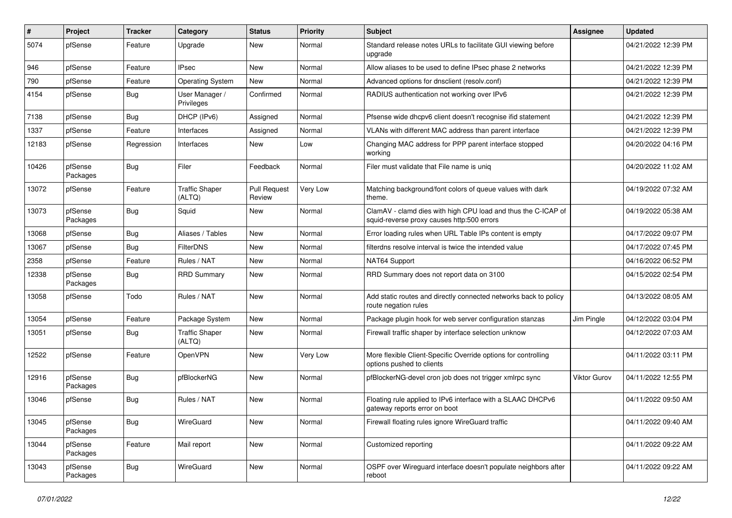| $\sharp$ | Project             | <b>Tracker</b> | Category                        | <b>Status</b>                 | <b>Priority</b> | <b>Subject</b>                                                                                              | <b>Assignee</b>     | <b>Updated</b>      |
|----------|---------------------|----------------|---------------------------------|-------------------------------|-----------------|-------------------------------------------------------------------------------------------------------------|---------------------|---------------------|
| 5074     | pfSense             | Feature        | Upgrade                         | New                           | Normal          | Standard release notes URLs to facilitate GUI viewing before<br>upgrade                                     |                     | 04/21/2022 12:39 PM |
| 946      | pfSense             | Feature        | <b>IPsec</b>                    | New                           | Normal          | Allow aliases to be used to define IPsec phase 2 networks                                                   |                     | 04/21/2022 12:39 PM |
| 790      | pfSense             | Feature        | <b>Operating System</b>         | <b>New</b>                    | Normal          | Advanced options for dnsclient (resolv.conf)                                                                |                     | 04/21/2022 12:39 PM |
| 4154     | pfSense             | Bug            | User Manager /<br>Privileges    | Confirmed                     | Normal          | RADIUS authentication not working over IPv6                                                                 |                     | 04/21/2022 12:39 PM |
| 7138     | pfSense             | Bug            | DHCP (IPv6)                     | Assigned                      | Normal          | Pfsense wide dhcpv6 client doesn't recognise ifid statement                                                 |                     | 04/21/2022 12:39 PM |
| 1337     | pfSense             | Feature        | Interfaces                      | Assigned                      | Normal          | VLANs with different MAC address than parent interface                                                      |                     | 04/21/2022 12:39 PM |
| 12183    | pfSense             | Regression     | Interfaces                      | New                           | Low             | Changing MAC address for PPP parent interface stopped<br>working                                            |                     | 04/20/2022 04:16 PM |
| 10426    | pfSense<br>Packages | Bug            | Filer                           | Feedback                      | Normal          | Filer must validate that File name is uniq                                                                  |                     | 04/20/2022 11:02 AM |
| 13072    | pfSense             | Feature        | <b>Traffic Shaper</b><br>(ALTQ) | <b>Pull Request</b><br>Review | Very Low        | Matching background/font colors of queue values with dark<br>theme.                                         |                     | 04/19/2022 07:32 AM |
| 13073    | pfSense<br>Packages | Bug            | Squid                           | New                           | Normal          | ClamAV - clamd dies with high CPU load and thus the C-ICAP of<br>squid-reverse proxy causes http:500 errors |                     | 04/19/2022 05:38 AM |
| 13068    | pfSense             | Bug            | Aliases / Tables                | <b>New</b>                    | Normal          | Error loading rules when URL Table IPs content is empty                                                     |                     | 04/17/2022 09:07 PM |
| 13067    | pfSense             | Bug            | <b>FilterDNS</b>                | New                           | Normal          | filterdns resolve interval is twice the intended value                                                      |                     | 04/17/2022 07:45 PM |
| 2358     | pfSense             | Feature        | Rules / NAT                     | New                           | Normal          | NAT64 Support                                                                                               |                     | 04/16/2022 06:52 PM |
| 12338    | pfSense<br>Packages | Bug            | <b>RRD Summary</b>              | New                           | Normal          | RRD Summary does not report data on 3100                                                                    |                     | 04/15/2022 02:54 PM |
| 13058    | pfSense             | Todo           | Rules / NAT                     | New                           | Normal          | Add static routes and directly connected networks back to policy<br>route negation rules                    |                     | 04/13/2022 08:05 AM |
| 13054    | pfSense             | Feature        | Package System                  | New                           | Normal          | Package plugin hook for web server configuration stanzas                                                    | Jim Pingle          | 04/12/2022 03:04 PM |
| 13051    | pfSense             | Bug            | <b>Traffic Shaper</b><br>(ALTQ) | New                           | Normal          | Firewall traffic shaper by interface selection unknow                                                       |                     | 04/12/2022 07:03 AM |
| 12522    | pfSense             | Feature        | OpenVPN                         | <b>New</b>                    | Very Low        | More flexible Client-Specific Override options for controlling<br>options pushed to clients                 |                     | 04/11/2022 03:11 PM |
| 12916    | pfSense<br>Packages | Bug            | pfBlockerNG                     | <b>New</b>                    | Normal          | pfBlockerNG-devel cron job does not trigger xmlrpc sync                                                     | <b>Viktor Gurov</b> | 04/11/2022 12:55 PM |
| 13046    | pfSense             | Bug            | Rules / NAT                     | New                           | Normal          | Floating rule applied to IPv6 interface with a SLAAC DHCPv6<br>gateway reports error on boot                |                     | 04/11/2022 09:50 AM |
| 13045    | pfSense<br>Packages | <b>Bug</b>     | WireGuard                       | New                           | Normal          | Firewall floating rules ignore WireGuard traffic                                                            |                     | 04/11/2022 09:40 AM |
| 13044    | pfSense<br>Packages | Feature        | Mail report                     | New                           | Normal          | Customized reporting                                                                                        |                     | 04/11/2022 09:22 AM |
| 13043    | pfSense<br>Packages | Bug            | WireGuard                       | New                           | Normal          | OSPF over Wireguard interface doesn't populate neighbors after<br>reboot                                    |                     | 04/11/2022 09:22 AM |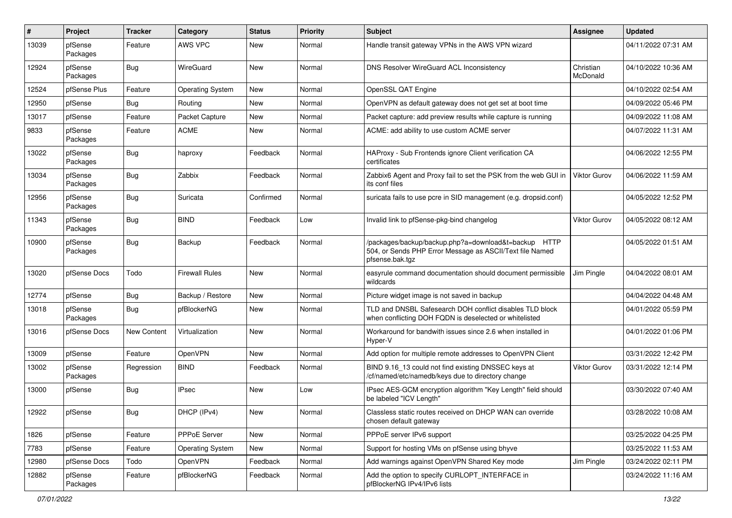| #     | Project             | <b>Tracker</b> | Category                | <b>Status</b> | <b>Priority</b> | Subject                                                                                                                             | <b>Assignee</b>       | <b>Updated</b>      |
|-------|---------------------|----------------|-------------------------|---------------|-----------------|-------------------------------------------------------------------------------------------------------------------------------------|-----------------------|---------------------|
| 13039 | pfSense<br>Packages | Feature        | AWS VPC                 | New           | Normal          | Handle transit gateway VPNs in the AWS VPN wizard                                                                                   |                       | 04/11/2022 07:31 AM |
| 12924 | pfSense<br>Packages | Bug            | WireGuard               | New           | Normal          | DNS Resolver WireGuard ACL Inconsistency                                                                                            | Christian<br>McDonald | 04/10/2022 10:36 AM |
| 12524 | pfSense Plus        | Feature        | <b>Operating System</b> | <b>New</b>    | Normal          | OpenSSL QAT Engine                                                                                                                  |                       | 04/10/2022 02:54 AM |
| 12950 | pfSense             | <b>Bug</b>     | Routina                 | New           | Normal          | OpenVPN as default gateway does not get set at boot time                                                                            |                       | 04/09/2022 05:46 PM |
| 13017 | pfSense             | Feature        | Packet Capture          | New           | Normal          | Packet capture: add preview results while capture is running                                                                        |                       | 04/09/2022 11:08 AM |
| 9833  | pfSense<br>Packages | Feature        | <b>ACME</b>             | New           | Normal          | ACME: add ability to use custom ACME server                                                                                         |                       | 04/07/2022 11:31 AM |
| 13022 | pfSense<br>Packages | Bug            | haproxy                 | Feedback      | Normal          | HAProxy - Sub Frontends ignore Client verification CA<br>certificates                                                               |                       | 04/06/2022 12:55 PM |
| 13034 | pfSense<br>Packages | Bug            | Zabbix                  | Feedback      | Normal          | Zabbix6 Agent and Proxy fail to set the PSK from the web GUI in<br>its conf files                                                   | Viktor Gurov          | 04/06/2022 11:59 AM |
| 12956 | pfSense<br>Packages | Bug            | Suricata                | Confirmed     | Normal          | suricata fails to use pcre in SID management (e.g. dropsid.conf)                                                                    |                       | 04/05/2022 12:52 PM |
| 11343 | pfSense<br>Packages | Bug            | <b>BIND</b>             | Feedback      | Low             | Invalid link to pfSense-pkg-bind changelog                                                                                          | Viktor Gurov          | 04/05/2022 08:12 AM |
| 10900 | pfSense<br>Packages | Bug            | Backup                  | Feedback      | Normal          | /packages/backup/backup.php?a=download&t=backup HTTP<br>504, or Sends PHP Error Message as ASCII/Text file Named<br>pfsense.bak.tgz |                       | 04/05/2022 01:51 AM |
| 13020 | pfSense Docs        | Todo           | <b>Firewall Rules</b>   | <b>New</b>    | Normal          | easyrule command documentation should document permissible<br>wildcards                                                             | Jim Pingle            | 04/04/2022 08:01 AM |
| 12774 | pfSense             | Bug            | Backup / Restore        | <b>New</b>    | Normal          | Picture widget image is not saved in backup                                                                                         |                       | 04/04/2022 04:48 AM |
| 13018 | pfSense<br>Packages | Bug            | pfBlockerNG             | New           | Normal          | TLD and DNSBL Safesearch DOH conflict disables TLD block<br>when conflicting DOH FQDN is deselected or whitelisted                  |                       | 04/01/2022 05:59 PM |
| 13016 | pfSense Docs        | New Content    | Virtualization          | New           | Normal          | Workaround for bandwith issues since 2.6 when installed in<br>Hyper-V                                                               |                       | 04/01/2022 01:06 PM |
| 13009 | pfSense             | Feature        | OpenVPN                 | New           | Normal          | Add option for multiple remote addresses to OpenVPN Client                                                                          |                       | 03/31/2022 12:42 PM |
| 13002 | pfSense<br>Packages | Regression     | <b>BIND</b>             | Feedback      | Normal          | BIND 9.16_13 could not find existing DNSSEC keys at<br>/cf/named/etc/namedb/keys due to directory change                            | <b>Viktor Gurov</b>   | 03/31/2022 12:14 PM |
| 13000 | pfSense             | Bug            | <b>IPsec</b>            | New           | Low             | IPsec AES-GCM encryption algorithm "Key Length" field should<br>be labeled "ICV Length"                                             |                       | 03/30/2022 07:40 AM |
| 12922 | pfSense             | <b>Bug</b>     | DHCP (IPv4)             | New           | Normal          | Classless static routes received on DHCP WAN can override<br>chosen default gateway                                                 |                       | 03/28/2022 10:08 AM |
| 1826  | pfSense             | Feature        | PPPoE Server            | New           | Normal          | PPPoE server IPv6 support                                                                                                           |                       | 03/25/2022 04:25 PM |
| 7783  | pfSense             | Feature        | <b>Operating System</b> | New           | Normal          | Support for hosting VMs on pfSense using bhyve                                                                                      |                       | 03/25/2022 11:53 AM |
| 12980 | pfSense Docs        | Todo           | <b>OpenVPN</b>          | Feedback      | Normal          | Add warnings against OpenVPN Shared Key mode                                                                                        | Jim Pingle            | 03/24/2022 02:11 PM |
| 12882 | pfSense<br>Packages | Feature        | pfBlockerNG             | Feedback      | Normal          | Add the option to specify CURLOPT_INTERFACE in<br>pfBlockerNG IPv4/IPv6 lists                                                       |                       | 03/24/2022 11:16 AM |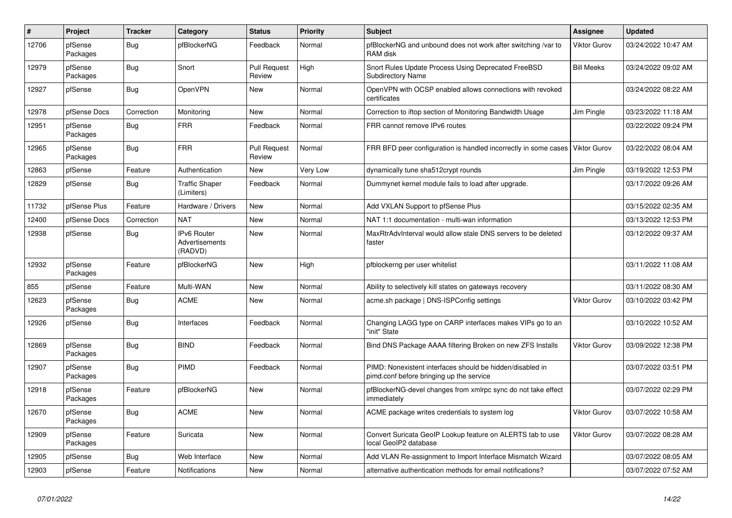| $\sharp$ | Project             | <b>Tracker</b> | Category                                        | <b>Status</b>                 | <b>Priority</b> | <b>Subject</b>                                                                                        | Assignee            | <b>Updated</b>      |
|----------|---------------------|----------------|-------------------------------------------------|-------------------------------|-----------------|-------------------------------------------------------------------------------------------------------|---------------------|---------------------|
| 12706    | pfSense<br>Packages | Bug            | pfBlockerNG                                     | Feedback                      | Normal          | pfBlockerNG and unbound does not work after switching /var to<br>RAM disk                             | <b>Viktor Gurov</b> | 03/24/2022 10:47 AM |
| 12979    | pfSense<br>Packages | <b>Bug</b>     | Snort                                           | <b>Pull Request</b><br>Review | High            | Snort Rules Update Process Using Deprecated FreeBSD<br><b>Subdirectory Name</b>                       | <b>Bill Meeks</b>   | 03/24/2022 09:02 AM |
| 12927    | pfSense             | <b>Bug</b>     | <b>OpenVPN</b>                                  | <b>New</b>                    | Normal          | OpenVPN with OCSP enabled allows connections with revoked<br>certificates                             |                     | 03/24/2022 08:22 AM |
| 12978    | pfSense Docs        | Correction     | Monitoring                                      | <b>New</b>                    | Normal          | Correction to iftop section of Monitoring Bandwidth Usage                                             | Jim Pingle          | 03/23/2022 11:18 AM |
| 12951    | pfSense<br>Packages | <b>Bug</b>     | <b>FRR</b>                                      | Feedback                      | Normal          | FRR cannot remove IPv6 routes                                                                         |                     | 03/22/2022 09:24 PM |
| 12965    | pfSense<br>Packages | <b>Bug</b>     | <b>FRR</b>                                      | <b>Pull Request</b><br>Review | Normal          | FRR BFD peer configuration is handled incorrectly in some cases                                       | <b>Viktor Gurov</b> | 03/22/2022 08:04 AM |
| 12863    | pfSense             | Feature        | Authentication                                  | New                           | Very Low        | dynamically tune sha512crypt rounds                                                                   | Jim Pingle          | 03/19/2022 12:53 PM |
| 12829    | pfSense             | <b>Bug</b>     | <b>Traffic Shaper</b><br>(Limiters)             | Feedback                      | Normal          | Dummynet kernel module fails to load after upgrade.                                                   |                     | 03/17/2022 09:26 AM |
| 11732    | pfSense Plus        | Feature        | Hardware / Drivers                              | <b>New</b>                    | Normal          | Add VXLAN Support to pfSense Plus                                                                     |                     | 03/15/2022 02:35 AM |
| 12400    | pfSense Docs        | Correction     | NAT                                             | <b>New</b>                    | Normal          | NAT 1:1 documentation - multi-wan information                                                         |                     | 03/13/2022 12:53 PM |
| 12938    | pfSense             | <b>Bug</b>     | <b>IPv6 Router</b><br>Advertisements<br>(RADVD) | <b>New</b>                    | Normal          | MaxRtrAdvInterval would allow stale DNS servers to be deleted<br>faster                               |                     | 03/12/2022 09:37 AM |
| 12932    | pfSense<br>Packages | Feature        | pfBlockerNG                                     | <b>New</b>                    | High            | pfblockerng per user whitelist                                                                        |                     | 03/11/2022 11:08 AM |
| 855      | pfSense             | Feature        | Multi-WAN                                       | New                           | Normal          | Ability to selectively kill states on gateways recovery                                               |                     | 03/11/2022 08:30 AM |
| 12623    | pfSense<br>Packages | Bug            | <b>ACME</b>                                     | New                           | Normal          | acme.sh package   DNS-ISPConfig settings                                                              | <b>Viktor Gurov</b> | 03/10/2022 03:42 PM |
| 12926    | pfSense             | <b>Bug</b>     | Interfaces                                      | Feedback                      | Normal          | Changing LAGG type on CARP interfaces makes VIPs go to an<br>"init" State                             |                     | 03/10/2022 10:52 AM |
| 12869    | pfSense<br>Packages | Bug            | <b>BIND</b>                                     | Feedback                      | Normal          | Bind DNS Package AAAA filtering Broken on new ZFS Installs                                            | <b>Viktor Gurov</b> | 03/09/2022 12:38 PM |
| 12907    | pfSense<br>Packages | <b>Bug</b>     | PIMD                                            | Feedback                      | Normal          | PIMD: Nonexistent interfaces should be hidden/disabled in<br>pimd.conf before bringing up the service |                     | 03/07/2022 03:51 PM |
| 12918    | pfSense<br>Packages | Feature        | pfBlockerNG                                     | New                           | Normal          | pfBlockerNG-devel changes from xmlrpc sync do not take effect<br>immediately                          |                     | 03/07/2022 02:29 PM |
| 12670    | pfSense<br>Packages | <b>Bug</b>     | <b>ACME</b>                                     | <b>New</b>                    | Normal          | ACME package writes credentials to system log                                                         | <b>Viktor Gurov</b> | 03/07/2022 10:58 AM |
| 12909    | pfSense<br>Packages | Feature        | Suricata                                        | <b>New</b>                    | Normal          | Convert Suricata GeoIP Lookup feature on ALERTS tab to use<br>local GeoIP2 database                   | <b>Viktor Gurov</b> | 03/07/2022 08:28 AM |
| 12905    | pfSense             | Bug            | Web Interface                                   | <b>New</b>                    | Normal          | Add VLAN Re-assignment to Import Interface Mismatch Wizard                                            |                     | 03/07/2022 08:05 AM |
| 12903    | pfSense             | Feature        | <b>Notifications</b>                            | New                           | Normal          | alternative authentication methods for email notifications?                                           |                     | 03/07/2022 07:52 AM |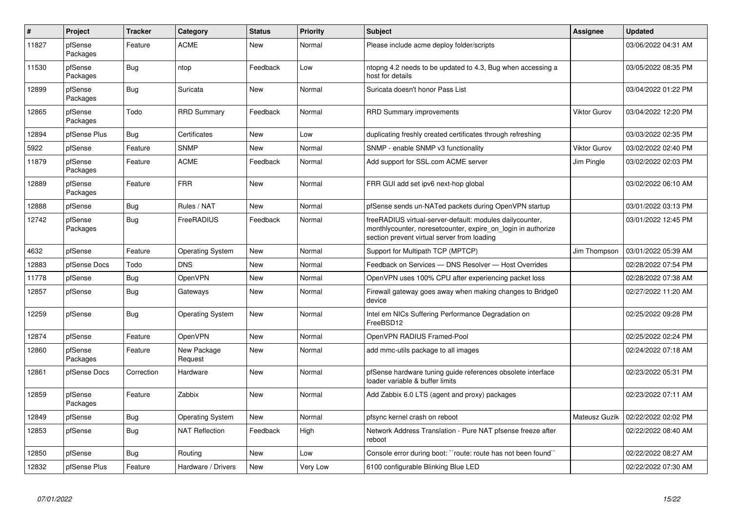| $\pmb{\#}$ | Project             | <b>Tracker</b> | Category                | <b>Status</b> | <b>Priority</b> | <b>Subject</b>                                                                                                                                                          | Assignee            | <b>Updated</b>      |
|------------|---------------------|----------------|-------------------------|---------------|-----------------|-------------------------------------------------------------------------------------------------------------------------------------------------------------------------|---------------------|---------------------|
| 11827      | pfSense<br>Packages | Feature        | <b>ACME</b>             | <b>New</b>    | Normal          | Please include acme deploy folder/scripts                                                                                                                               |                     | 03/06/2022 04:31 AM |
| 11530      | pfSense<br>Packages | Bug            | ntop                    | Feedback      | Low             | ntopng 4.2 needs to be updated to 4.3, Bug when accessing a<br>host for details                                                                                         |                     | 03/05/2022 08:35 PM |
| 12899      | pfSense<br>Packages | Bug            | Suricata                | <b>New</b>    | Normal          | Suricata doesn't honor Pass List                                                                                                                                        |                     | 03/04/2022 01:22 PM |
| 12865      | pfSense<br>Packages | Todo           | <b>RRD Summary</b>      | Feedback      | Normal          | RRD Summary improvements                                                                                                                                                | <b>Viktor Gurov</b> | 03/04/2022 12:20 PM |
| 12894      | pfSense Plus        | <b>Bug</b>     | Certificates            | <b>New</b>    | Low             | duplicating freshly created certificates through refreshing                                                                                                             |                     | 03/03/2022 02:35 PM |
| 5922       | pfSense             | Feature        | <b>SNMP</b>             | <b>New</b>    | Normal          | SNMP - enable SNMP v3 functionality                                                                                                                                     | <b>Viktor Gurov</b> | 03/02/2022 02:40 PM |
| 11879      | pfSense<br>Packages | Feature        | <b>ACME</b>             | Feedback      | Normal          | Add support for SSL.com ACME server                                                                                                                                     | Jim Pingle          | 03/02/2022 02:03 PM |
| 12889      | pfSense<br>Packages | Feature        | <b>FRR</b>              | <b>New</b>    | Normal          | FRR GUI add set ipv6 next-hop global                                                                                                                                    |                     | 03/02/2022 06:10 AM |
| 12888      | pfSense             | <b>Bug</b>     | Rules / NAT             | <b>New</b>    | Normal          | pfSense sends un-NATed packets during OpenVPN startup                                                                                                                   |                     | 03/01/2022 03:13 PM |
| 12742      | pfSense<br>Packages | Bug            | FreeRADIUS              | Feedback      | Normal          | freeRADIUS virtual-server-default: modules dailycounter,<br>monthlycounter, noresetcounter, expire on login in authorize<br>section prevent virtual server from loading |                     | 03/01/2022 12:45 PM |
| 4632       | pfSense             | Feature        | <b>Operating System</b> | New           | Normal          | Support for Multipath TCP (MPTCP)                                                                                                                                       | Jim Thompson        | 03/01/2022 05:39 AM |
| 12883      | pfSense Docs        | Todo           | <b>DNS</b>              | <b>New</b>    | Normal          | Feedback on Services - DNS Resolver - Host Overrides                                                                                                                    |                     | 02/28/2022 07:54 PM |
| 11778      | pfSense             | <b>Bug</b>     | <b>OpenVPN</b>          | <b>New</b>    | Normal          | OpenVPN uses 100% CPU after experiencing packet loss                                                                                                                    |                     | 02/28/2022 07:38 AM |
| 12857      | pfSense             | <b>Bug</b>     | Gateways                | <b>New</b>    | Normal          | Firewall gateway goes away when making changes to Bridge0<br>device                                                                                                     |                     | 02/27/2022 11:20 AM |
| 12259      | pfSense             | <b>Bug</b>     | <b>Operating System</b> | New           | Normal          | Intel em NICs Suffering Performance Degradation on<br>FreeBSD12                                                                                                         |                     | 02/25/2022 09:28 PM |
| 12874      | pfSense             | Feature        | <b>OpenVPN</b>          | <b>New</b>    | Normal          | OpenVPN RADIUS Framed-Pool                                                                                                                                              |                     | 02/25/2022 02:24 PM |
| 12860      | pfSense<br>Packages | Feature        | New Package<br>Request  | <b>New</b>    | Normal          | add mmc-utils package to all images                                                                                                                                     |                     | 02/24/2022 07:18 AM |
| 12861      | pfSense Docs        | Correction     | Hardware                | <b>New</b>    | Normal          | pfSense hardware tuning guide references obsolete interface<br>loader variable & buffer limits                                                                          |                     | 02/23/2022 05:31 PM |
| 12859      | pfSense<br>Packages | Feature        | Zabbix                  | <b>New</b>    | Normal          | Add Zabbix 6.0 LTS (agent and proxy) packages                                                                                                                           |                     | 02/23/2022 07:11 AM |
| 12849      | pfSense             | Bug            | <b>Operating System</b> | <b>New</b>    | Normal          | pfsync kernel crash on reboot                                                                                                                                           | Mateusz Guzik       | 02/22/2022 02:02 PM |
| 12853      | pfSense             | <b>Bug</b>     | <b>NAT Reflection</b>   | Feedback      | High            | Network Address Translation - Pure NAT pfsense freeze after<br>reboot                                                                                                   |                     | 02/22/2022 08:40 AM |
| 12850      | pfSense             | <b>Bug</b>     | Routing                 | <b>New</b>    | Low             | Console error during boot: "route: route has not been found"                                                                                                            |                     | 02/22/2022 08:27 AM |
| 12832      | pfSense Plus        | Feature        | Hardware / Drivers      | New           | Very Low        | 6100 configurable Blinking Blue LED                                                                                                                                     |                     | 02/22/2022 07:30 AM |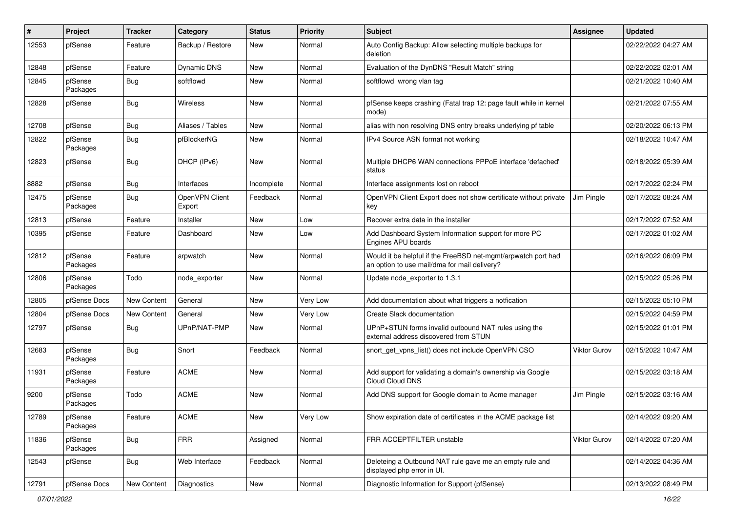| #     | Project             | <b>Tracker</b> | Category                 | <b>Status</b> | <b>Priority</b> | Subject                                                                                                       | <b>Assignee</b>     | <b>Updated</b>      |
|-------|---------------------|----------------|--------------------------|---------------|-----------------|---------------------------------------------------------------------------------------------------------------|---------------------|---------------------|
| 12553 | pfSense             | Feature        | Backup / Restore         | <b>New</b>    | Normal          | Auto Config Backup: Allow selecting multiple backups for<br>deletion                                          |                     | 02/22/2022 04:27 AM |
| 12848 | pfSense             | Feature        | <b>Dynamic DNS</b>       | New           | Normal          | Evaluation of the DynDNS "Result Match" string                                                                |                     | 02/22/2022 02:01 AM |
| 12845 | pfSense<br>Packages | Bug            | softflowd                | New           | Normal          | softflowd wrong vlan tag                                                                                      |                     | 02/21/2022 10:40 AM |
| 12828 | pfSense             | Bug            | Wireless                 | New           | Normal          | pfSense keeps crashing (Fatal trap 12: page fault while in kernel<br>mode)                                    |                     | 02/21/2022 07:55 AM |
| 12708 | pfSense             | <b>Bug</b>     | Aliases / Tables         | <b>New</b>    | Normal          | alias with non resolving DNS entry breaks underlying pf table                                                 |                     | 02/20/2022 06:13 PM |
| 12822 | pfSense<br>Packages | Bug            | pfBlockerNG              | New           | Normal          | IPv4 Source ASN format not working                                                                            |                     | 02/18/2022 10:47 AM |
| 12823 | pfSense             | Bug            | DHCP (IPv6)              | New           | Normal          | Multiple DHCP6 WAN connections PPPoE interface 'defached'<br>status                                           |                     | 02/18/2022 05:39 AM |
| 8882  | pfSense             | <b>Bug</b>     | Interfaces               | Incomplete    | Normal          | Interface assignments lost on reboot                                                                          |                     | 02/17/2022 02:24 PM |
| 12475 | pfSense<br>Packages | Bug            | OpenVPN Client<br>Export | Feedback      | Normal          | OpenVPN Client Export does not show certificate without private<br>key                                        | Jim Pingle          | 02/17/2022 08:24 AM |
| 12813 | pfSense             | Feature        | Installer                | <b>New</b>    | Low             | Recover extra data in the installer                                                                           |                     | 02/17/2022 07:52 AM |
| 10395 | pfSense             | Feature        | Dashboard                | New           | Low             | Add Dashboard System Information support for more PC<br>Engines APU boards                                    |                     | 02/17/2022 01:02 AM |
| 12812 | pfSense<br>Packages | Feature        | arpwatch                 | New           | Normal          | Would it be helpful if the FreeBSD net-mgmt/arpwatch port had<br>an option to use mail/dma for mail delivery? |                     | 02/16/2022 06:09 PM |
| 12806 | pfSense<br>Packages | Todo           | node exporter            | <b>New</b>    | Normal          | Update node exporter to 1.3.1                                                                                 |                     | 02/15/2022 05:26 PM |
| 12805 | pfSense Docs        | New Content    | General                  | <b>New</b>    | Very Low        | Add documentation about what triggers a notfication                                                           |                     | 02/15/2022 05:10 PM |
| 12804 | pfSense Docs        | New Content    | General                  | <b>New</b>    | Very Low        | Create Slack documentation                                                                                    |                     | 02/15/2022 04:59 PM |
| 12797 | pfSense             | Bug            | UPnP/NAT-PMP             | New           | Normal          | UPnP+STUN forms invalid outbound NAT rules using the<br>external address discovered from STUN                 |                     | 02/15/2022 01:01 PM |
| 12683 | pfSense<br>Packages | Bug            | Snort                    | Feedback      | Normal          | snort_get_vpns_list() does not include OpenVPN CSO                                                            | Viktor Gurov        | 02/15/2022 10:47 AM |
| 11931 | pfSense<br>Packages | Feature        | <b>ACME</b>              | <b>New</b>    | Normal          | Add support for validating a domain's ownership via Google<br>Cloud Cloud DNS                                 |                     | 02/15/2022 03:18 AM |
| 9200  | pfSense<br>Packages | Todo           | <b>ACME</b>              | New           | Normal          | Add DNS support for Google domain to Acme manager                                                             | Jim Pingle          | 02/15/2022 03:16 AM |
| 12789 | pfSense<br>Packages | Feature        | <b>ACME</b>              | New           | Very Low        | Show expiration date of certificates in the ACME package list                                                 |                     | 02/14/2022 09:20 AM |
| 11836 | pfSense<br>Packages | Bug            | <b>FRR</b>               | Assigned      | Normal          | FRR ACCEPTFILTER unstable                                                                                     | <b>Viktor Gurov</b> | 02/14/2022 07:20 AM |
| 12543 | pfSense             | <b>Bug</b>     | Web Interface            | Feedback      | Normal          | Deleteing a Outbound NAT rule gave me an empty rule and<br>displayed php error in UI.                         |                     | 02/14/2022 04:36 AM |
| 12791 | pfSense Docs        | New Content    | Diagnostics              | New           | Normal          | Diagnostic Information for Support (pfSense)                                                                  |                     | 02/13/2022 08:49 PM |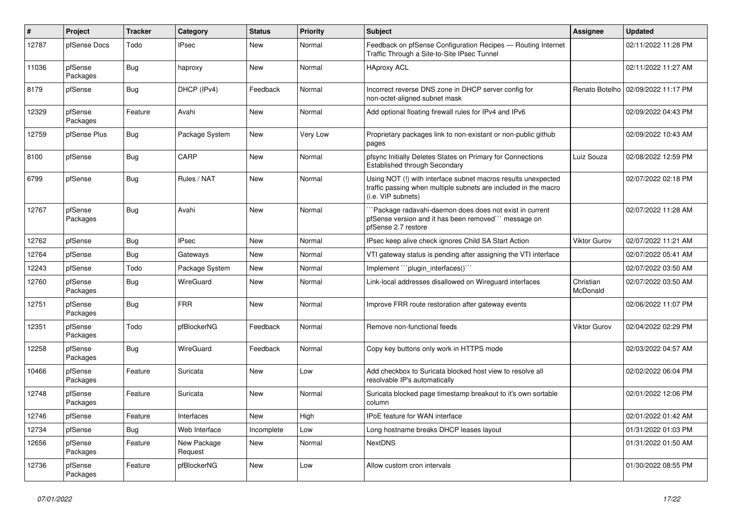| $\#$  | Project             | <b>Tracker</b> | Category               | <b>Status</b> | <b>Priority</b> | <b>Subject</b>                                                                                                                                         | <b>Assignee</b>       | <b>Updated</b>      |
|-------|---------------------|----------------|------------------------|---------------|-----------------|--------------------------------------------------------------------------------------------------------------------------------------------------------|-----------------------|---------------------|
| 12787 | pfSense Docs        | Todo           | <b>IPsec</b>           | New           | Normal          | Feedback on pfSense Configuration Recipes - Routing Internet<br>Traffic Through a Site-to-Site IPsec Tunnel                                            |                       | 02/11/2022 11:28 PM |
| 11036 | pfSense<br>Packages | <b>Bug</b>     | haproxy                | <b>New</b>    | Normal          | <b>HAproxy ACL</b>                                                                                                                                     |                       | 02/11/2022 11:27 AM |
| 8179  | pfSense             | <b>Bug</b>     | DHCP (IPv4)            | Feedback      | Normal          | Incorrect reverse DNS zone in DHCP server config for<br>non-octet-aligned subnet mask                                                                  | Renato Botelho        | 02/09/2022 11:17 PM |
| 12329 | pfSense<br>Packages | Feature        | Avahi                  | <b>New</b>    | Normal          | Add optional floating firewall rules for IPv4 and IPv6                                                                                                 |                       | 02/09/2022 04:43 PM |
| 12759 | pfSense Plus        | Bug            | Package System         | <b>New</b>    | Very Low        | Proprietary packages link to non-existant or non-public github<br>pages                                                                                |                       | 02/09/2022 10:43 AM |
| 8100  | pfSense             | <b>Bug</b>     | CARP                   | <b>New</b>    | Normal          | pfsync Initially Deletes States on Primary for Connections<br>Established through Secondary                                                            | Luiz Souza            | 02/08/2022 12:59 PM |
| 6799  | pfSense             | <b>Bug</b>     | Rules / NAT            | <b>New</b>    | Normal          | Using NOT (!) with interface subnet macros results unexpected<br>traffic passing when multiple subnets are included in the macro<br>(i.e. VIP subnets) |                       | 02/07/2022 02:18 PM |
| 12767 | pfSense<br>Packages | Bug            | Avahi                  | <b>New</b>    | Normal          | Package radavahi-daemon does does not exist in current<br>pfSense version and it has been removed" message on<br>pfSense 2.7 restore                   |                       | 02/07/2022 11:28 AM |
| 12762 | pfSense             | <b>Bug</b>     | <b>IPsec</b>           | <b>New</b>    | Normal          | IPsec keep alive check ignores Child SA Start Action                                                                                                   | Viktor Gurov          | 02/07/2022 11:21 AM |
| 12764 | pfSense             | Bug            | Gateways               | <b>New</b>    | Normal          | VTI gateway status is pending after assigning the VTI interface                                                                                        |                       | 02/07/2022 05:41 AM |
| 12243 | pfSense             | Todo           | Package System         | New           | Normal          | Implement "plugin interfaces()"                                                                                                                        |                       | 02/07/2022 03:50 AM |
| 12760 | pfSense<br>Packages | Bug            | WireGuard              | <b>New</b>    | Normal          | Link-local addresses disallowed on Wireguard interfaces                                                                                                | Christian<br>McDonald | 02/07/2022 03:50 AM |
| 12751 | pfSense<br>Packages | Bug            | <b>FRR</b>             | <b>New</b>    | Normal          | Improve FRR route restoration after gateway events                                                                                                     |                       | 02/06/2022 11:07 PM |
| 12351 | pfSense<br>Packages | Todo           | pfBlockerNG            | Feedback      | Normal          | Remove non-functional feeds                                                                                                                            | Viktor Gurov          | 02/04/2022 02:29 PM |
| 12258 | pfSense<br>Packages | Bug            | <b>WireGuard</b>       | Feedback      | Normal          | Copy key buttons only work in HTTPS mode                                                                                                               |                       | 02/03/2022 04:57 AM |
| 10466 | pfSense<br>Packages | Feature        | Suricata               | <b>New</b>    | Low             | Add checkbox to Suricata blocked host view to resolve all<br>resolvable IP's automatically                                                             |                       | 02/02/2022 06:04 PM |
| 12748 | pfSense<br>Packages | Feature        | Suricata               | <b>New</b>    | Normal          | Suricata blocked page timestamp breakout to it's own sortable<br>column                                                                                |                       | 02/01/2022 12:06 PM |
| 12746 | pfSense             | Feature        | Interfaces             | <b>New</b>    | High            | IPoE feature for WAN interface                                                                                                                         |                       | 02/01/2022 01:42 AM |
| 12734 | pfSense             | Bug            | Web Interface          | Incomplete    | Low             | Long hostname breaks DHCP leases layout                                                                                                                |                       | 01/31/2022 01:03 PM |
| 12656 | pfSense<br>Packages | Feature        | New Package<br>Request | New           | Normal          | <b>NextDNS</b>                                                                                                                                         |                       | 01/31/2022 01:50 AM |
| 12736 | pfSense<br>Packages | Feature        | pfBlockerNG            | <b>New</b>    | Low             | Allow custom cron intervals                                                                                                                            |                       | 01/30/2022 08:55 PM |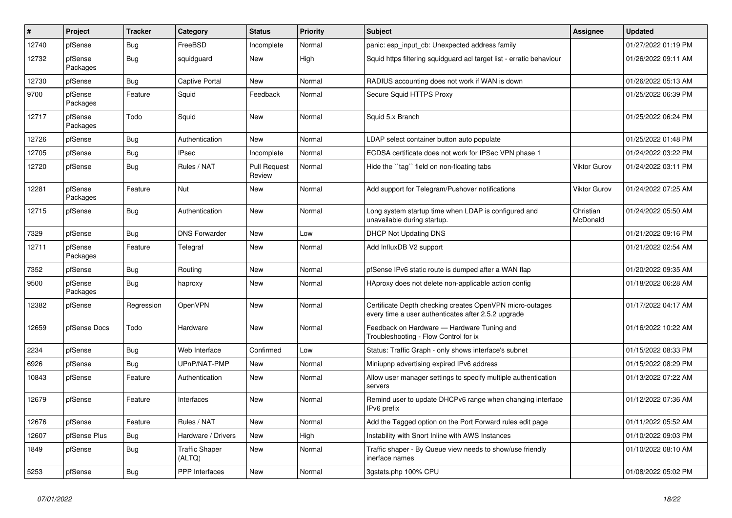| $\vert$ # | Project             | <b>Tracker</b> | Category                        | <b>Status</b>                 | <b>Priority</b> | <b>Subject</b>                                                                                                  | Assignee              | <b>Updated</b>      |
|-----------|---------------------|----------------|---------------------------------|-------------------------------|-----------------|-----------------------------------------------------------------------------------------------------------------|-----------------------|---------------------|
| 12740     | pfSense             | Bug            | FreeBSD                         | Incomplete                    | Normal          | panic: esp input cb: Unexpected address family                                                                  |                       | 01/27/2022 01:19 PM |
| 12732     | pfSense<br>Packages | Bug            | squidguard                      | New                           | High            | Squid https filtering squidguard acl target list - erratic behaviour                                            |                       | 01/26/2022 09:11 AM |
| 12730     | pfSense             | <b>Bug</b>     | Captive Portal                  | <b>New</b>                    | Normal          | RADIUS accounting does not work if WAN is down                                                                  |                       | 01/26/2022 05:13 AM |
| 9700      | pfSense<br>Packages | Feature        | Squid                           | Feedback                      | Normal          | Secure Squid HTTPS Proxy                                                                                        |                       | 01/25/2022 06:39 PM |
| 12717     | pfSense<br>Packages | Todo           | Squid                           | <b>New</b>                    | Normal          | Squid 5.x Branch                                                                                                |                       | 01/25/2022 06:24 PM |
| 12726     | pfSense             | Bug            | Authentication                  | New                           | Normal          | LDAP select container button auto populate                                                                      |                       | 01/25/2022 01:48 PM |
| 12705     | pfSense             | <b>Bug</b>     | <b>IPsec</b>                    | Incomplete                    | Normal          | ECDSA certificate does not work for IPSec VPN phase 1                                                           |                       | 01/24/2022 03:22 PM |
| 12720     | pfSense             | Bug            | Rules / NAT                     | <b>Pull Request</b><br>Review | Normal          | Hide the "tag" field on non-floating tabs                                                                       | <b>Viktor Gurov</b>   | 01/24/2022 03:11 PM |
| 12281     | pfSense<br>Packages | Feature        | <b>Nut</b>                      | New                           | Normal          | Add support for Telegram/Pushover notifications                                                                 | <b>Viktor Gurov</b>   | 01/24/2022 07:25 AM |
| 12715     | pfSense             | <b>Bug</b>     | Authentication                  | <b>New</b>                    | Normal          | Long system startup time when LDAP is configured and<br>unavailable during startup.                             | Christian<br>McDonald | 01/24/2022 05:50 AM |
| 7329      | pfSense             | <b>Bug</b>     | <b>DNS Forwarder</b>            | New                           | Low             | <b>DHCP Not Updating DNS</b>                                                                                    |                       | 01/21/2022 09:16 PM |
| 12711     | pfSense<br>Packages | Feature        | Telegraf                        | <b>New</b>                    | Normal          | Add InfluxDB V2 support                                                                                         |                       | 01/21/2022 02:54 AM |
| 7352      | pfSense             | <b>Bug</b>     | Routing                         | <b>New</b>                    | Normal          | pfSense IPv6 static route is dumped after a WAN flap                                                            |                       | 01/20/2022 09:35 AM |
| 9500      | pfSense<br>Packages | Bug            | haproxy                         | New                           | Normal          | HAproxy does not delete non-applicable action config                                                            |                       | 01/18/2022 06:28 AM |
| 12382     | pfSense             | Regression     | <b>OpenVPN</b>                  | New                           | Normal          | Certificate Depth checking creates OpenVPN micro-outages<br>every time a user authenticates after 2.5.2 upgrade |                       | 01/17/2022 04:17 AM |
| 12659     | pfSense Docs        | Todo           | Hardware                        | <b>New</b>                    | Normal          | Feedback on Hardware - Hardware Tuning and<br>Troubleshooting - Flow Control for ix                             |                       | 01/16/2022 10:22 AM |
| 2234      | pfSense             | Bug            | Web Interface                   | Confirmed                     | Low             | Status: Traffic Graph - only shows interface's subnet                                                           |                       | 01/15/2022 08:33 PM |
| 6926      | pfSense             | Bug            | UPnP/NAT-PMP                    | New                           | Normal          | Miniupnp advertising expired IPv6 address                                                                       |                       | 01/15/2022 08:29 PM |
| 10843     | pfSense             | Feature        | Authentication                  | New                           | Normal          | Allow user manager settings to specify multiple authentication<br>servers                                       |                       | 01/13/2022 07:22 AM |
| 12679     | pfSense             | Feature        | Interfaces                      | <b>New</b>                    | Normal          | Remind user to update DHCPv6 range when changing interface<br>IPv6 prefix                                       |                       | 01/12/2022 07:36 AM |
| 12676     | pfSense             | Feature        | Rules / NAT                     | <b>New</b>                    | Normal          | Add the Tagged option on the Port Forward rules edit page                                                       |                       | 01/11/2022 05:52 AM |
| 12607     | pfSense Plus        | <b>Bug</b>     | Hardware / Drivers              | <b>New</b>                    | High            | Instability with Snort Inline with AWS Instances                                                                |                       | 01/10/2022 09:03 PM |
| 1849      | pfSense             | Bug            | <b>Traffic Shaper</b><br>(ALTQ) | New                           | Normal          | Traffic shaper - By Queue view needs to show/use friendly<br>inerface names                                     |                       | 01/10/2022 08:10 AM |
| 5253      | pfSense             | <b>Bug</b>     | <b>PPP</b> Interfaces           | New                           | Normal          | 3gstats.php 100% CPU                                                                                            |                       | 01/08/2022 05:02 PM |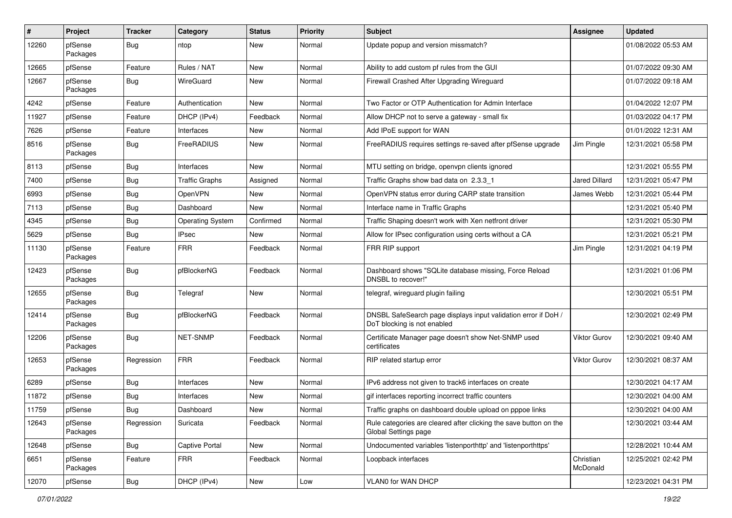| #     | Project             | <b>Tracker</b> | Category                | <b>Status</b> | <b>Priority</b> | <b>Subject</b>                                                                                | <b>Assignee</b>       | <b>Updated</b>      |
|-------|---------------------|----------------|-------------------------|---------------|-----------------|-----------------------------------------------------------------------------------------------|-----------------------|---------------------|
| 12260 | pfSense<br>Packages | Bug            | ntop                    | New           | Normal          | Update popup and version missmatch?                                                           |                       | 01/08/2022 05:53 AM |
| 12665 | pfSense             | Feature        | Rules / NAT             | New           | Normal          | Ability to add custom pf rules from the GUI                                                   |                       | 01/07/2022 09:30 AM |
| 12667 | pfSense<br>Packages | Bug            | WireGuard               | New           | Normal          | Firewall Crashed After Upgrading Wireguard                                                    |                       | 01/07/2022 09:18 AM |
| 4242  | pfSense             | Feature        | Authentication          | New           | Normal          | Two Factor or OTP Authentication for Admin Interface                                          |                       | 01/04/2022 12:07 PM |
| 11927 | pfSense             | Feature        | DHCP (IPv4)             | Feedback      | Normal          | Allow DHCP not to serve a gateway - small fix                                                 |                       | 01/03/2022 04:17 PM |
| 7626  | pfSense             | Feature        | Interfaces              | <b>New</b>    | Normal          | Add IPoE support for WAN                                                                      |                       | 01/01/2022 12:31 AM |
| 8516  | pfSense<br>Packages | Bug            | FreeRADIUS              | New           | Normal          | FreeRADIUS requires settings re-saved after pfSense upgrade                                   | Jim Pingle            | 12/31/2021 05:58 PM |
| 8113  | pfSense             | Bug            | Interfaces              | New           | Normal          | MTU setting on bridge, openvpn clients ignored                                                |                       | 12/31/2021 05:55 PM |
| 7400  | pfSense             | Bug            | <b>Traffic Graphs</b>   | Assigned      | Normal          | Traffic Graphs show bad data on 2.3.3 1                                                       | <b>Jared Dillard</b>  | 12/31/2021 05:47 PM |
| 6993  | pfSense             | Bug            | OpenVPN                 | <b>New</b>    | Normal          | OpenVPN status error during CARP state transition                                             | James Webb            | 12/31/2021 05:44 PM |
| 7113  | pfSense             | Bug            | Dashboard               | <b>New</b>    | Normal          | Interface name in Traffic Graphs                                                              |                       | 12/31/2021 05:40 PM |
| 4345  | pfSense             | Bug            | <b>Operating System</b> | Confirmed     | Normal          | Traffic Shaping doesn't work with Xen netfront driver                                         |                       | 12/31/2021 05:30 PM |
| 5629  | pfSense             | Bug            | <b>IPsec</b>            | New           | Normal          | Allow for IPsec configuration using certs without a CA                                        |                       | 12/31/2021 05:21 PM |
| 11130 | pfSense<br>Packages | Feature        | <b>FRR</b>              | Feedback      | Normal          | FRR RIP support                                                                               | Jim Pingle            | 12/31/2021 04:19 PM |
| 12423 | pfSense<br>Packages | Bug            | pfBlockerNG             | Feedback      | Normal          | Dashboard shows "SQLite database missing, Force Reload<br>DNSBL to recover!"                  |                       | 12/31/2021 01:06 PM |
| 12655 | pfSense<br>Packages | Bug            | Telegraf                | <b>New</b>    | Normal          | telegraf, wireguard plugin failing                                                            |                       | 12/30/2021 05:51 PM |
| 12414 | pfSense<br>Packages | Bug            | pfBlockerNG             | Feedback      | Normal          | DNSBL SafeSearch page displays input validation error if DoH /<br>DoT blocking is not enabled |                       | 12/30/2021 02:49 PM |
| 12206 | pfSense<br>Packages | Bug            | NET-SNMP                | Feedback      | Normal          | Certificate Manager page doesn't show Net-SNMP used<br>certificates                           | Viktor Gurov          | 12/30/2021 09:40 AM |
| 12653 | pfSense<br>Packages | Regression     | <b>FRR</b>              | Feedback      | Normal          | RIP related startup error                                                                     | Viktor Gurov          | 12/30/2021 08:37 AM |
| 6289  | pfSense             | Bug            | Interfaces              | <b>New</b>    | Normal          | IPv6 address not given to track6 interfaces on create                                         |                       | 12/30/2021 04:17 AM |
| 11872 | pfSense             | <b>Bug</b>     | Interfaces              | New           | Normal          | gif interfaces reporting incorrect traffic counters                                           |                       | 12/30/2021 04:00 AM |
| 11759 | pfSense             | Bug            | Dashboard               | New           | Normal          | Traffic graphs on dashboard double upload on pppoe links                                      |                       | 12/30/2021 04:00 AM |
| 12643 | pfSense<br>Packages | Regression     | Suricata                | Feedback      | Normal          | Rule categories are cleared after clicking the save button on the<br>Global Settings page     |                       | 12/30/2021 03:44 AM |
| 12648 | pfSense             | <b>Bug</b>     | Captive Portal          | New           | Normal          | Undocumented variables 'listenporthttp' and 'listenporthttps'                                 |                       | 12/28/2021 10:44 AM |
| 6651  | pfSense<br>Packages | Feature        | <b>FRR</b>              | Feedback      | Normal          | Loopback interfaces                                                                           | Christian<br>McDonald | 12/25/2021 02:42 PM |
| 12070 | pfSense             | <b>Bug</b>     | DHCP (IPv4)             | New           | Low             | VLAN0 for WAN DHCP                                                                            |                       | 12/23/2021 04:31 PM |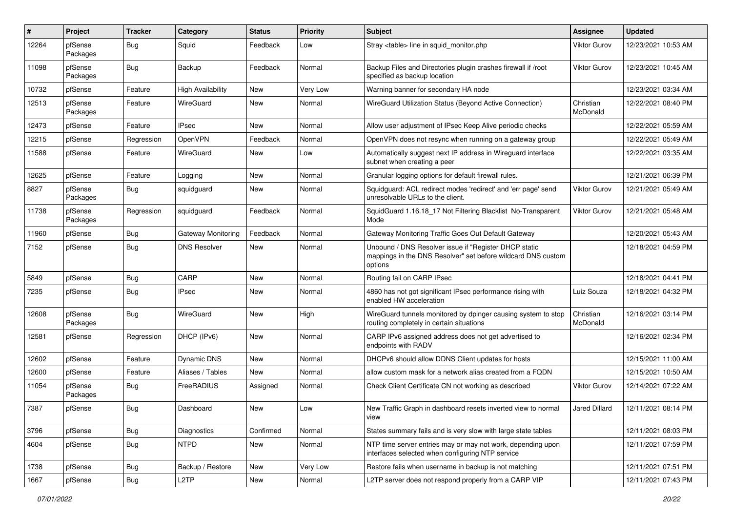| #     | Project             | <b>Tracker</b> | Category                 | <b>Status</b> | <b>Priority</b> | Subject                                                                                                                          | <b>Assignee</b>       | <b>Updated</b>      |
|-------|---------------------|----------------|--------------------------|---------------|-----------------|----------------------------------------------------------------------------------------------------------------------------------|-----------------------|---------------------|
| 12264 | pfSense<br>Packages | Bug            | Squid                    | Feedback      | Low             | Stray <table> line in squid monitor.php</table>                                                                                  | <b>Viktor Gurov</b>   | 12/23/2021 10:53 AM |
| 11098 | pfSense<br>Packages | Bug            | Backup                   | Feedback      | Normal          | Backup Files and Directories plugin crashes firewall if /root<br>specified as backup location                                    | <b>Viktor Gurov</b>   | 12/23/2021 10:45 AM |
| 10732 | pfSense             | Feature        | <b>High Availability</b> | New           | Very Low        | Warning banner for secondary HA node                                                                                             |                       | 12/23/2021 03:34 AM |
| 12513 | pfSense<br>Packages | Feature        | WireGuard                | New           | Normal          | WireGuard Utilization Status (Beyond Active Connection)                                                                          | Christian<br>McDonald | 12/22/2021 08:40 PM |
| 12473 | pfSense             | Feature        | <b>IPsec</b>             | <b>New</b>    | Normal          | Allow user adjustment of IPsec Keep Alive periodic checks                                                                        |                       | 12/22/2021 05:59 AM |
| 12215 | pfSense             | Regression     | OpenVPN                  | Feedback      | Normal          | OpenVPN does not resync when running on a gateway group                                                                          |                       | 12/22/2021 05:49 AM |
| 11588 | pfSense             | Feature        | WireGuard                | New           | Low             | Automatically suggest next IP address in Wireguard interface<br>subnet when creating a peer                                      |                       | 12/22/2021 03:35 AM |
| 12625 | pfSense             | Feature        | Logging                  | <b>New</b>    | Normal          | Granular logging options for default firewall rules.                                                                             |                       | 12/21/2021 06:39 PM |
| 8827  | pfSense<br>Packages | Bug            | squidguard               | New           | Normal          | Squidguard: ACL redirect modes 'redirect' and 'err page' send<br>unresolvable URLs to the client.                                | Viktor Gurov          | 12/21/2021 05:49 AM |
| 11738 | pfSense<br>Packages | Regression     | squidguard               | Feedback      | Normal          | SquidGuard 1.16.18_17 Not Filtering Blacklist No-Transparent<br>Mode                                                             | <b>Viktor Gurov</b>   | 12/21/2021 05:48 AM |
| 11960 | pfSense             | Bug            | Gateway Monitoring       | Feedback      | Normal          | Gateway Monitoring Traffic Goes Out Default Gateway                                                                              |                       | 12/20/2021 05:43 AM |
| 7152  | pfSense             | Bug            | <b>DNS Resolver</b>      | New           | Normal          | Unbound / DNS Resolver issue if "Register DHCP static<br>mappings in the DNS Resolver" set before wildcard DNS custom<br>options |                       | 12/18/2021 04:59 PM |
| 5849  | pfSense             | Bug            | CARP                     | <b>New</b>    | Normal          | Routing fail on CARP IPsec                                                                                                       |                       | 12/18/2021 04:41 PM |
| 7235  | pfSense             | Bug            | <b>IPsec</b>             | New           | Normal          | 4860 has not got significant IPsec performance rising with<br>enabled HW acceleration                                            | Luiz Souza            | 12/18/2021 04:32 PM |
| 12608 | pfSense<br>Packages | Bug            | WireGuard                | New           | High            | WireGuard tunnels monitored by dpinger causing system to stop<br>routing completely in certain situations                        | Christian<br>McDonald | 12/16/2021 03:14 PM |
| 12581 | pfSense             | Regression     | DHCP (IPv6)              | New           | Normal          | CARP IPv6 assigned address does not get advertised to<br>endpoints with RADV                                                     |                       | 12/16/2021 02:34 PM |
| 12602 | pfSense             | Feature        | <b>Dynamic DNS</b>       | New           | Normal          | DHCPv6 should allow DDNS Client updates for hosts                                                                                |                       | 12/15/2021 11:00 AM |
| 12600 | pfSense             | Feature        | Aliases / Tables         | New           | Normal          | allow custom mask for a network alias created from a FQDN                                                                        |                       | 12/15/2021 10:50 AM |
| 11054 | pfSense<br>Packages | Bug            | FreeRADIUS               | Assigned      | Normal          | Check Client Certificate CN not working as described                                                                             | <b>Viktor Gurov</b>   | 12/14/2021 07:22 AM |
| 7387  | pfSense             | Bug            | Dashboard                | New           | Low             | New Traffic Graph in dashboard resets inverted view to normal<br>view                                                            | <b>Jared Dillard</b>  | 12/11/2021 08:14 PM |
| 3796  | pfSense             | <b>Bug</b>     | Diagnostics              | Confirmed     | Normal          | States summary fails and is very slow with large state tables                                                                    |                       | 12/11/2021 08:03 PM |
| 4604  | pfSense             | <b>Bug</b>     | <b>NTPD</b>              | New           | Normal          | NTP time server entries may or may not work, depending upon<br>interfaces selected when configuring NTP service                  |                       | 12/11/2021 07:59 PM |
| 1738  | pfSense             | <b>Bug</b>     | Backup / Restore         | New           | Very Low        | Restore fails when username in backup is not matching                                                                            |                       | 12/11/2021 07:51 PM |
| 1667  | pfSense             | Bug            | L <sub>2</sub> TP        | New           | Normal          | L2TP server does not respond properly from a CARP VIP                                                                            |                       | 12/11/2021 07:43 PM |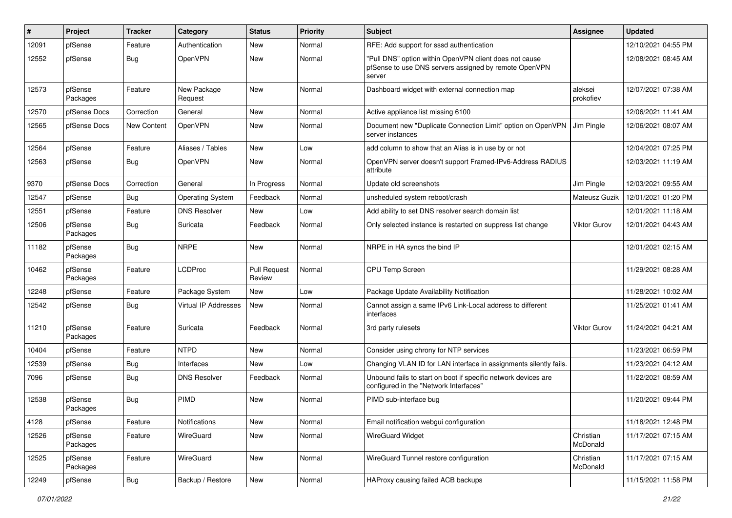| #     | Project             | <b>Tracker</b> | Category                | <b>Status</b>                 | <b>Priority</b> | <b>Subject</b>                                                                                                            | Assignee              | <b>Updated</b>      |
|-------|---------------------|----------------|-------------------------|-------------------------------|-----------------|---------------------------------------------------------------------------------------------------------------------------|-----------------------|---------------------|
| 12091 | pfSense             | Feature        | Authentication          | <b>New</b>                    | Normal          | RFE: Add support for sssd authentication                                                                                  |                       | 12/10/2021 04:55 PM |
| 12552 | pfSense             | Bug            | OpenVPN                 | <b>New</b>                    | Normal          | "Pull DNS" option within OpenVPN client does not cause<br>pfSense to use DNS servers assigned by remote OpenVPN<br>server |                       | 12/08/2021 08:45 AM |
| 12573 | pfSense<br>Packages | Feature        | New Package<br>Request  | <b>New</b>                    | Normal          | Dashboard widget with external connection map                                                                             | aleksei<br>prokofiev  | 12/07/2021 07:38 AM |
| 12570 | pfSense Docs        | Correction     | General                 | <b>New</b>                    | Normal          | Active appliance list missing 6100                                                                                        |                       | 12/06/2021 11:41 AM |
| 12565 | pfSense Docs        | New Content    | OpenVPN                 | <b>New</b>                    | Normal          | Document new "Duplicate Connection Limit" option on OpenVPN<br>server instances                                           | Jim Pingle            | 12/06/2021 08:07 AM |
| 12564 | pfSense             | Feature        | Aliases / Tables        | <b>New</b>                    | Low             | add column to show that an Alias is in use by or not                                                                      |                       | 12/04/2021 07:25 PM |
| 12563 | pfSense             | <b>Bug</b>     | OpenVPN                 | <b>New</b>                    | Normal          | OpenVPN server doesn't support Framed-IPv6-Address RADIUS<br>attribute                                                    |                       | 12/03/2021 11:19 AM |
| 9370  | pfSense Docs        | Correction     | General                 | In Progress                   | Normal          | Update old screenshots                                                                                                    | Jim Pingle            | 12/03/2021 09:55 AM |
| 12547 | pfSense             | Bug            | <b>Operating System</b> | Feedback                      | Normal          | unsheduled system reboot/crash                                                                                            | Mateusz Guzik         | 12/01/2021 01:20 PM |
| 12551 | pfSense             | Feature        | <b>DNS Resolver</b>     | New                           | Low             | Add ability to set DNS resolver search domain list                                                                        |                       | 12/01/2021 11:18 AM |
| 12506 | pfSense<br>Packages | <b>Bug</b>     | Suricata                | Feedback                      | Normal          | Only selected instance is restarted on suppress list change                                                               | <b>Viktor Gurov</b>   | 12/01/2021 04:43 AM |
| 11182 | pfSense<br>Packages | <b>Bug</b>     | <b>NRPE</b>             | <b>New</b>                    | Normal          | NRPE in HA syncs the bind IP                                                                                              |                       | 12/01/2021 02:15 AM |
| 10462 | pfSense<br>Packages | Feature        | <b>LCDProc</b>          | <b>Pull Request</b><br>Review | Normal          | CPU Temp Screen                                                                                                           |                       | 11/29/2021 08:28 AM |
| 12248 | pfSense             | Feature        | Package System          | New                           | Low             | Package Update Availability Notification                                                                                  |                       | 11/28/2021 10:02 AM |
| 12542 | pfSense             | Bug            | Virtual IP Addresses    | <b>New</b>                    | Normal          | Cannot assign a same IPv6 Link-Local address to different<br>interfaces                                                   |                       | 11/25/2021 01:41 AM |
| 11210 | pfSense<br>Packages | Feature        | Suricata                | Feedback                      | Normal          | 3rd party rulesets                                                                                                        | Viktor Gurov          | 11/24/2021 04:21 AM |
| 10404 | pfSense             | Feature        | <b>NTPD</b>             | <b>New</b>                    | Normal          | Consider using chrony for NTP services                                                                                    |                       | 11/23/2021 06:59 PM |
| 12539 | pfSense             | Bug            | Interfaces              | New                           | Low             | Changing VLAN ID for LAN interface in assignments silently fails.                                                         |                       | 11/23/2021 04:12 AM |
| 7096  | pfSense             | <b>Bug</b>     | <b>DNS Resolver</b>     | Feedback                      | Normal          | Unbound fails to start on boot if specific network devices are<br>configured in the "Network Interfaces"                  |                       | 11/22/2021 08:59 AM |
| 12538 | pfSense<br>Packages | Bug            | PIMD                    | <b>New</b>                    | Normal          | PIMD sub-interface bug                                                                                                    |                       | 11/20/2021 09:44 PM |
| 4128  | pfSense             | Feature        | Notifications           | New                           | Normal          | Email notification webgui configuration                                                                                   |                       | 11/18/2021 12:48 PM |
| 12526 | pfSense<br>Packages | Feature        | WireGuard               | New                           | Normal          | <b>WireGuard Widget</b>                                                                                                   | Christian<br>McDonald | 11/17/2021 07:15 AM |
| 12525 | pfSense<br>Packages | Feature        | WireGuard               | New                           | Normal          | WireGuard Tunnel restore configuration                                                                                    | Christian<br>McDonald | 11/17/2021 07:15 AM |
| 12249 | pfSense             | Bug            | Backup / Restore        | New                           | Normal          | HAProxy causing failed ACB backups                                                                                        |                       | 11/15/2021 11:58 PM |